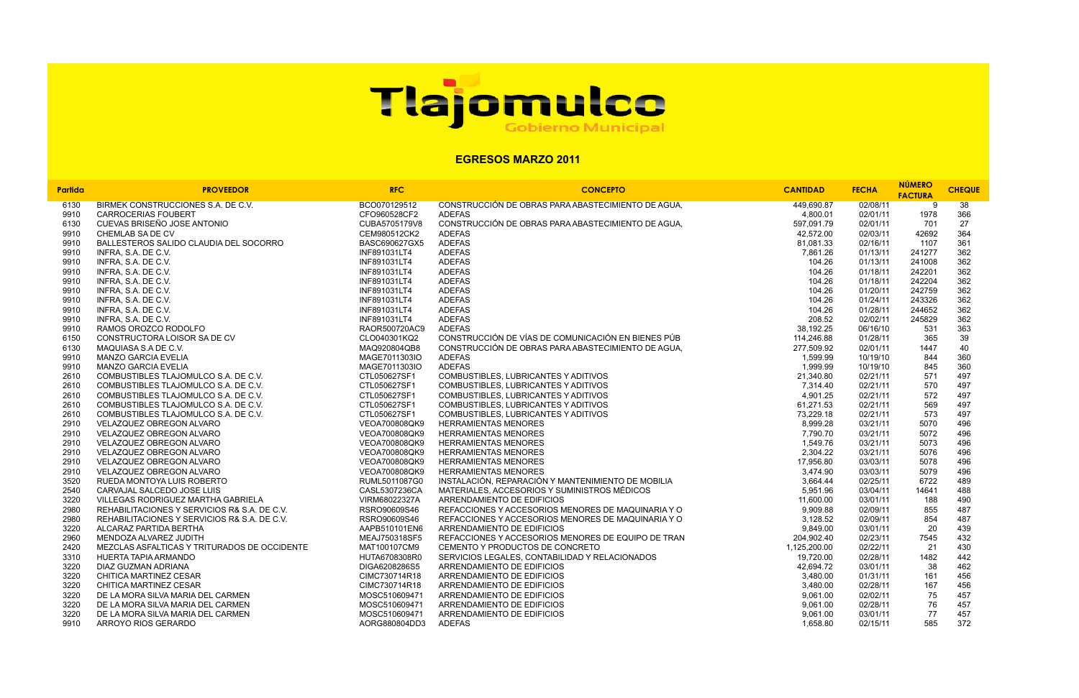| ANTIDAD                  | <b>FECHA</b>         | <b>NUMERO</b>  | <b>CHEQUE</b> |  |
|--------------------------|----------------------|----------------|---------------|--|
|                          |                      | <b>FACTURA</b> |               |  |
| 449,690.87               | 02/08/11             | 9              | 38            |  |
| 4,800.01                 | 02/01/11             | 1978           | 366           |  |
| 597,091.79               | 02/01/11             | 701            | 27            |  |
| 42,572.00                | 02/03/11             | 42692          | 364           |  |
| 81,081.33                | 02/16/11             | 1107           | 361           |  |
| 7,861.26                 | 01/13/11             | 241277         | 362           |  |
| 104.26                   | 01/13/11             | 241008         | 362           |  |
| 104.26                   | 01/18/11             | 242201         | 362           |  |
| 104.26                   | 01/18/11             | 242204         | 362           |  |
| 104.26                   | 01/20/11             | 242759         | 362           |  |
| 104.26                   | 01/24/11             | 243326         | 362           |  |
| 104.26                   | 01/28/11             | 244652         | 362           |  |
| 208.52                   | 02/02/11             | 245829         | 362           |  |
| 38,192.25                | 06/16/10             | 531            | 363           |  |
| 114,246.88               | 01/28/11             | 365            | 39            |  |
| 277,509.92               | 02/01/11             | 1447           | 40            |  |
| 1,599.99                 | 10/19/10             | 844            | 360           |  |
| 1,999.99                 | 10/19/10             | 845            | 360           |  |
| 21,340.80                | 02/21/11             | 571            | 497           |  |
| 7,314.40                 | 02/21/11             | 570            | 497           |  |
| 4,901.25                 | 02/21/11             | 572            | 497           |  |
| 61,271.53                | 02/21/11             | 569            | 497           |  |
| 73,229.18                | 02/21/11             | 573            | 497           |  |
| 8,999.28                 | 03/21/11             | 5070           | 496           |  |
| 7,790.70                 | 03/21/11             | 5072           | 496           |  |
| 1,549.76                 | 03/21/11             | 5073           | 496           |  |
| 2,304.22                 | 03/21/11             | 5076           | 496           |  |
| 17,956.80                | 03/03/11             | 5078           | 496           |  |
| 3,474.90                 | 03/03/11             | 5079           | 496           |  |
| 3,664.44                 | 02/25/11             | 6722           | 489           |  |
| 5,951.96                 | 03/04/11             | 14641          | 488           |  |
| 11,600.00                | 03/01/11             | 188            | 490           |  |
| 9,909.88                 | 02/09/11             | 855<br>854     | 487           |  |
| 3,128.52                 | 02/09/11<br>03/01/11 | 20             | 487           |  |
| 9,849.00                 |                      |                | 439           |  |
| 204,902.40<br>125,200.00 | 02/23/11<br>02/22/11 | 7545<br>21     | 432           |  |
| 19,720.00                | 02/28/11             | 1482           | 430<br>442    |  |
| 42,694.72                | 03/01/11             | 38             | 462           |  |
| 3,480.00                 | 01/31/11             | 161            | 456           |  |
| 3,480.00                 | 02/28/11             | 167            | 456           |  |
| 9.061.00                 | 02/02/11             | 75             | 457           |  |
| 9.061.00                 | 02/28/11             | 76             | 457           |  |
| 9.061.00                 | 03/01/11             | 77             | 457           |  |
| 1659.90                  | 02/15/11             | ᄃᄋᄃ            | 270           |  |

| Partida | <b>PROVEEDOR</b>                             | <b>RFC</b>    | <b>CONCEPTO</b>                                    | <b>CANTIDAD</b> | <b>FECHA</b> | <b>NÚMERO</b><br><b>FACTURA</b> | <b>CHEQ</b> |
|---------|----------------------------------------------|---------------|----------------------------------------------------|-----------------|--------------|---------------------------------|-------------|
| 6130    | BIRMEK CONSTRUCCIONES S.A. DE C.V.           | BCO070129512  | CONSTRUCCIÓN DE OBRAS PARA ABASTECIMIENTO DE AGUA, | 449.690.87      | 02/08/11     | 9                               | 38          |
| 9910    | <b>CARROCERIAS FOUBERT</b>                   | CFO960528CF2  | <b>ADEFAS</b>                                      | 4,800.01        | 02/01/11     | 1978                            | 366         |
| 6130    | CUEVAS BRISEÑO JOSE ANTONIO                  | CUBA5705179V8 | CONSTRUCCIÓN DE OBRAS PARA ABASTECIMIENTO DE AGUA, | 597,091.79      | 02/01/11     | 701                             | 27          |
| 9910    | CHEMLAB SA DE CV                             | CEM980512CK2  | <b>ADEFAS</b>                                      | 42.572.00       | 02/03/11     | 42692                           | 364         |
| 9910    | BALLESTEROS SALIDO CLAUDIA DEL SOCORRO       | BASC690627GX5 | <b>ADEFAS</b>                                      | 81,081.33       | 02/16/11     | 1107                            | 361         |
| 9910    | INFRA, S.A. DE C.V.                          | INF891031LT4  | <b>ADEFAS</b>                                      | 7,861.26        | 01/13/11     | 241277                          | 362         |
| 9910    | INFRA, S.A. DE C.V.                          | INF891031LT4  | <b>ADEFAS</b>                                      | 104.26          | 01/13/11     | 241008                          | 362         |
| 9910    | INFRA, S.A. DE C.V.                          | INF891031LT4  | <b>ADEFAS</b>                                      | 104.26          | 01/18/11     | 242201                          | 362         |
| 9910    | INFRA, S.A. DE C.V.                          | INF891031LT4  | <b>ADEFAS</b>                                      | 104.26          | 01/18/11     | 242204                          | 362         |
| 9910    | INFRA, S.A. DE C.V.                          | INF891031LT4  | <b>ADEFAS</b>                                      | 104.26          | 01/20/11     | 242759                          | 362         |
| 9910    | INFRA, S.A. DE C.V.                          | INF891031LT4  | <b>ADEFAS</b>                                      | 104.26          | 01/24/11     | 243326                          | 362         |
| 9910    | INFRA, S.A. DE C.V.                          | INF891031LT4  | <b>ADEFAS</b>                                      | 104.26          | 01/28/11     | 244652                          | 362         |
| 9910    | INFRA, S.A. DE C.V.                          | INF891031LT4  | <b>ADEFAS</b>                                      | 208.52          | 02/02/11     | 245829                          | 362         |
| 9910    | RAMOS OROZCO RODOLFO                         | RAOR500720AC9 | <b>ADEFAS</b>                                      | 38,192.25       | 06/16/10     | 531                             | 363         |
| 6150    | CONSTRUCTORA LOISOR SA DE CV                 | CLO040301KQ2  | CONSTRUCCIÓN DE VÍAS DE COMUNICACIÓN EN BIENES PÚB | 114,246.88      | 01/28/11     | 365                             | 39          |
| 6130    | MAQUIASA S.A DE C.V.                         | MAQ920804QB8  | CONSTRUCCIÓN DE OBRAS PARA ABASTECIMIENTO DE AGUA, | 277,509.92      | 02/01/11     | 1447                            | 40          |
| 9910    | <b>MANZO GARCIA EVELIA</b>                   | MAGE7011303IO | <b>ADEFAS</b>                                      | 1,599.99        | 10/19/10     | 844                             | 360         |
| 9910    | <b>MANZO GARCIA EVELIA</b>                   | MAGE7011303IO | <b>ADEFAS</b>                                      | 1,999.99        | 10/19/10     | 845                             | 360         |
| 2610    | COMBUSTIBLES TLAJOMULCO S.A. DE C.V.         | CTL050627SF1  | COMBUSTIBLES, LUBRICANTES Y ADITIVOS               | 21,340.80       | 02/21/11     | 571                             | 497         |
| 2610    | COMBUSTIBLES TLAJOMULCO S.A. DE C.V.         | CTL050627SF1  | COMBUSTIBLES, LUBRICANTES Y ADITIVOS               | 7,314.40        | 02/21/11     | 570                             | 497         |
| 2610    | COMBUSTIBLES TLAJOMULCO S.A. DE C.V.         | CTL050627SF1  | COMBUSTIBLES, LUBRICANTES Y ADITIVOS               | 4,901.25        | 02/21/11     | 572                             | 497         |
| 2610    | COMBUSTIBLES TLAJOMULCO S.A. DE C.V.         | CTL050627SF1  | COMBUSTIBLES, LUBRICANTES Y ADITIVOS               | 61,271.53       | 02/21/11     | 569                             | 497         |
| 2610    | COMBUSTIBLES TLAJOMULCO S.A. DE C.V.         | CTL050627SF1  | COMBUSTIBLES, LUBRICANTES Y ADITIVOS               | 73,229.18       | 02/21/11     | 573                             | 497         |
| 2910    | VELAZQUEZ OBREGON ALVARO                     | VEOA700808QK9 | <b>HERRAMIENTAS MENORES</b>                        | 8,999.28        | 03/21/11     | 5070                            | 496         |
| 2910    | VELAZQUEZ OBREGON ALVARO                     | VEOA700808QK9 | <b>HERRAMIENTAS MENORES</b>                        | 7,790.70        | 03/21/11     | 5072                            | 496         |
| 2910    | VELAZQUEZ OBREGON ALVARO                     | VEOA700808QK9 | <b>HERRAMIENTAS MENORES</b>                        | 1,549.76        | 03/21/11     | 5073                            | 496         |
| 2910    | VELAZQUEZ OBREGON ALVARO                     | VEOA700808QK9 | <b>HERRAMIENTAS MENORES</b>                        | 2,304.22        | 03/21/11     | 5076                            | 496         |
| 2910    | VELAZQUEZ OBREGON ALVARO                     | VEOA700808QK9 | <b>HERRAMIENTAS MENORES</b>                        | 17,956.80       | 03/03/11     | 5078                            | 496         |
| 2910    | VELAZQUEZ OBREGON ALVARO                     | VEOA700808QK9 | <b>HERRAMIENTAS MENORES</b>                        | 3,474.90        | 03/03/11     | 5079                            | 496         |
| 3520    | RUEDA MONTOYA LUIS ROBERTO                   | RUML5011087G0 | INSTALACIÓN, REPARACIÓN Y MANTENIMIENTO DE MOBILIA | 3,664.44        | 02/25/11     | 6722                            | 489         |
| 2540    | CARVAJAL SALCEDO JOSE LUIS                   | CASL5307236CA | MATERIALES, ACCESORIOS Y SUMINISTROS MÉDICOS       | 5,951.96        | 03/04/11     | 14641                           | 488         |
| 3220    | VILLEGAS RODRIGUEZ MARTHA GABRIELA           | VIRM68022327A | ARRENDAMIENTO DE EDIFICIOS                         | 11,600.00       | 03/01/11     | 188                             | 490         |
| 2980    | REHABILITACIONES Y SERVICIOS R& S.A. DE C.V. | RSRO90609S46  | REFACCIONES Y ACCESORIOS MENORES DE MAQUINARIA Y O | 9,909.88        | 02/09/11     | 855                             | 487         |
| 2980    | REHABILITACIONES Y SERVICIOS R& S.A. DE C.V. | RSRO90609S46  | REFACCIONES Y ACCESORIOS MENORES DE MAQUINARIA Y O | 3,128.52        | 02/09/11     | 854                             | 487         |
| 3220    | ALCARAZ PARTIDA BERTHA                       | AAPB510101EN6 | ARRENDAMIENTO DE EDIFICIOS                         | 9,849.00        | 03/01/11     | 20                              | 439         |
| 2960    | MENDOZA ALVAREZ JUDITH                       | MEAJ750318SF5 | REFACCIONES Y ACCESORIOS MENORES DE EQUIPO DE TRAN | 204,902.40      | 02/23/11     | 7545                            | 432         |
| 2420    | MEZCLAS ASFALTICAS Y TRITURADOS DE OCCIDENTE | MAT100107CM9  | CEMENTO Y PRODUCTOS DE CONCRETO                    | 1,125,200.00    | 02/22/11     | 21                              | 430         |
| 3310    | HUERTA TAPIA ARMANDO                         | HUTA6708308R0 | SERVICIOS LEGALES, CONTABILIDAD Y RELACIONADOS     | 19,720.00       | 02/28/11     | 1482                            | 442         |
| 3220    | DIAZ GUZMAN ADRIANA                          | DIGA6208286S5 | ARRENDAMIENTO DE EDIFICIOS                         | 42,694.72       | 03/01/11     | 38                              | 462         |
| 3220    | CHITICA MARTINEZ CESAR                       | CIMC730714R18 | ARRENDAMIENTO DE EDIFICIOS                         | 3,480.00        | 01/31/11     | 161                             | 456         |
| 3220    | CHITICA MARTINEZ CESAR                       | CIMC730714R18 | ARRENDAMIENTO DE EDIFICIOS                         | 3,480.00        | 02/28/11     | 167                             | 456         |
| 3220    | DE LA MORA SILVA MARIA DEL CARMEN            | MOSC510609471 | ARRENDAMIENTO DE EDIFICIOS                         | 9,061.00        | 02/02/11     | 75                              | 457         |
| 3220    | DE LA MORA SILVA MARIA DEL CARMEN            | MOSC510609471 | ARRENDAMIENTO DE EDIFICIOS                         | 9,061.00        | 02/28/11     | 76                              | 457         |
| 3220    | DE LA MORA SILVA MARIA DEL CARMEN            | MOSC510609471 | ARRENDAMIENTO DE EDIFICIOS                         | 9,061.00        | 03/01/11     | 77                              | 457         |
| 9910    | ARROYO RIOS GERARDO                          | AORG880804DD3 | <b>ADEFAS</b>                                      | 1,658.80        | 02/15/11     | 585                             | 372         |

## Tlajomulce

## **EGRESOS MARZO 2011**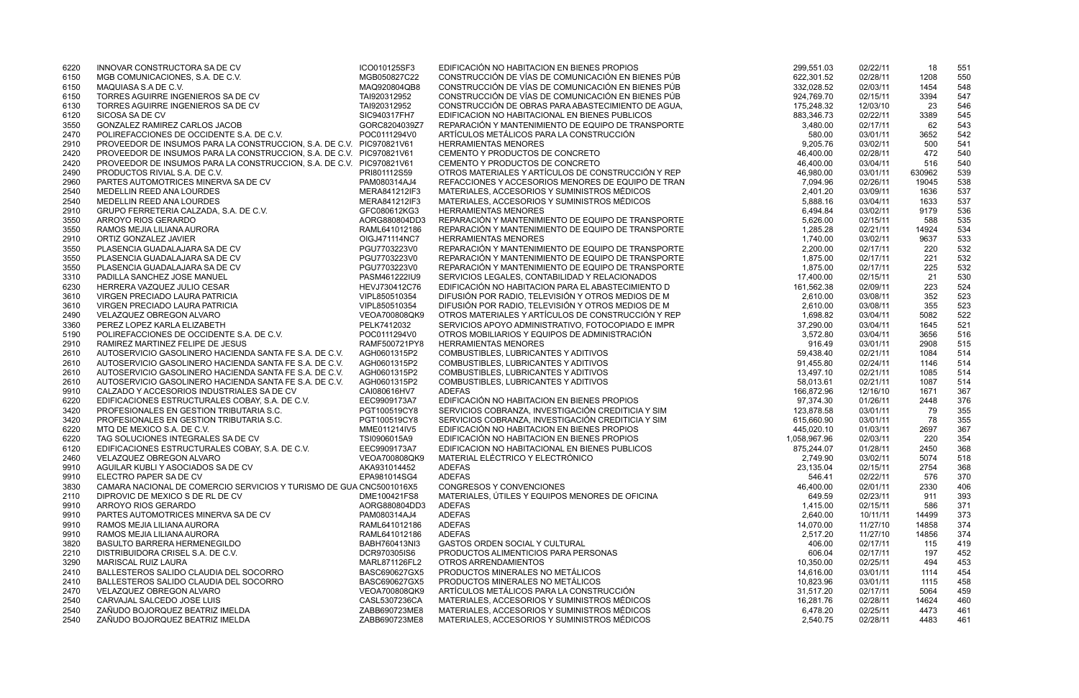| 6220         | INNOVAR CONSTRUCTORA SA DE CV                                        | ICO010125SF3                  | EDIFICACIÓN NO HABITACION EN BIENES PROPIOS                                                              | 299,551.03            | 02/22/11             | 18           | 551        |
|--------------|----------------------------------------------------------------------|-------------------------------|----------------------------------------------------------------------------------------------------------|-----------------------|----------------------|--------------|------------|
| 6150         | MGB COMUNICACIONES, S.A. DE C.V.                                     | MGB050827C22                  | CONSTRUCCIÓN DE VÍAS DE COMUNICACIÓN EN BIENES PÚB                                                       | 622,301.52            | 02/28/11             | 1208         | 550        |
| 6150         | MAQUIASA S.A DE C.V.                                                 | MAQ920804QB8                  | CONSTRUCCIÓN DE VÍAS DE COMUNICACIÓN EN BIENES PÚB                                                       | 332,028.52            | 02/03/11             | 1454         | 548        |
| 6150         | TORRES AGUIRRE INGENIEROS SA DE CV                                   | TAI920312952                  | CONSTRUCCIÓN DE VÍAS DE COMUNICACIÓN EN BIENES PÚB                                                       | 924,769.70            | 02/15/11             | 3394         | 547        |
| 6130         | TORRES AGUIRRE INGENIEROS SA DE CV                                   | TAI920312952                  | CONSTRUCCIÓN DE OBRAS PARA ABASTECIMIENTO DE AGUA,                                                       | 175,248.32            | 12/03/10             | 23           | 546        |
| 6120         | SICOSA SA DE CV<br><b>GONZALEZ RAMIREZ CARLOS JACOB</b>              | SIC940317FH7<br>GORC8204039Z7 | EDIFICACION NO HABITACIONAL EN BIENES PUBLICOS<br>REPARACIÓN Y MANTENIMIENTO DE EQUIPO DE TRANSPORTE     | 883,346.73            | 02/22/11             | 3389         | 545        |
| 3550<br>2470 | POLIREFACCIONES DE OCCIDENTE S.A. DE C.V.                            | POC0111294V0                  | ARTÍCULOS METÁLICOS PARA LA CONSTRUCCIÓN                                                                 | 3,480.00<br>580.00    | 02/17/11<br>03/01/11 | 62<br>3652   | 543<br>542 |
| 2910         | PROVEEDOR DE INSUMOS PARA LA CONSTRUCCION, S.A. DE C.V. PIC970821V61 |                               | <b>HERRAMIENTAS MENORES</b>                                                                              | 9,205.76              | 03/02/11             | 500          | 541        |
| 2420         | PROVEEDOR DE INSUMOS PARA LA CONSTRUCCION, S.A. DE C.V. PIC970821V61 |                               | CEMENTO Y PRODUCTOS DE CONCRETO                                                                          | 46,400.00             | 02/28/11             | 472          | 540        |
| 2420         | PROVEEDOR DE INSUMOS PARA LA CONSTRUCCION, S.A. DE C.V. PIC970821V61 |                               | CEMENTO Y PRODUCTOS DE CONCRETO                                                                          | 46,400.00             | 03/04/11             | 516          | 540        |
| 2490         | PRODUCTOS RIVIAL S.A. DE C.V.                                        | PRI801112S59                  | OTROS MATERIALES Y ARTÍCULOS DE CONSTRUCCIÓN Y REP                                                       | 46,980.00             | 03/01/11             | 630962       | 539        |
| 2960         | PARTES AUTOMOTRICES MINERVA SA DE CV                                 | PAM080314AJ4                  | REFACCIONES Y ACCESORIOS MENORES DE EQUIPO DE TRAN                                                       | 7,094.96              | 02/26/11             | 19045        | 538        |
| 2540         | MEDELLIN REED ANA LOURDES                                            | MERA841212IF3                 | MATERIALES, ACCESORIOS Y SUMINISTROS MÉDICOS                                                             | 2,401.20              | 03/09/11             | 1636         | 537        |
| 2540         | MEDELLIN REED ANA LOURDES                                            | MERA841212IF3                 | MATERIALES, ACCESORIOS Y SUMINISTROS MÉDICOS                                                             | 5,888.16              | 03/04/11             | 1633         | 537        |
| 2910         | GRUPO FERRETERIA CALZADA, S.A. DE C.V.                               | GFC080612KG3                  | <b>HERRAMIENTAS MENORES</b>                                                                              | 6,494.84              | 03/02/11             | 9179         | 536        |
| 3550         | ARROYO RIOS GERARDO                                                  | AORG880804DD3                 | REPARACIÓN Y MANTENIMIENTO DE EQUIPO DE TRANSPORTE                                                       | 5,626.00              | 02/15/11             | 588          | 535        |
| 3550         | RAMOS MEJIA LILIANA AURORA                                           | RAML641012186                 | REPARACIÓN Y MANTENIMIENTO DE EQUIPO DE TRANSPORTE                                                       | 1,285.28              | 02/21/11             | 14924        | 534        |
| 2910         | ORTIZ GONZALEZ JAVIER                                                | OIGJ471114NC7                 | <b>HERRAMIENTAS MENORES</b>                                                                              | 1,740.00              | 03/02/11             | 9637         | 533        |
| 3550         | PLASENCIA GUADALAJARA SA DE CV                                       | PGU7703223V0                  | REPARACIÓN Y MANTENIMIENTO DE EQUIPO DE TRANSPORTE                                                       | 2,200.00              | 02/17/11             | 220          | 532        |
| 3550         | PLASENCIA GUADALAJARA SA DE CV                                       | PGU7703223V0                  | REPARACIÓN Y MANTENIMIENTO DE EQUIPO DE TRANSPORTE                                                       | 1,875.00              | 02/17/11             | 221          | 532        |
| 3550         | PLASENCIA GUADALAJARA SA DE CV                                       | PGU7703223V0                  | REPARACIÓN Y MANTENIMIENTO DE EQUIPO DE TRANSPORTE                                                       | 1,875.00              | 02/17/11             | 225          | 532        |
| 3310         | PADILLA SANCHEZ JOSE MANUEL                                          | PASM461222IU9                 | SERVICIOS LEGALES, CONTABILIDAD Y RELACIONADOS                                                           | 17,400.00             | 02/15/11             | 21           | 530        |
| 6230         | HERRERA VAZQUEZ JULIO CESAR                                          | HEVJ730412C76                 | EDIFICACIÓN NO HABITACION PARA EL ABASTECIMIENTO D                                                       | 161,562.38            | 02/09/11             | 223          | 524        |
| 3610         | VIRGEN PRECIADO LAURA PATRICIA                                       | VIPL850510354                 | DIFUSIÓN POR RADIO, TELEVISIÓN Y OTROS MEDIOS DE M                                                       | 2,610.00              | 03/08/11             | 352          | 523        |
| 3610         | VIRGEN PRECIADO LAURA PATRICIA                                       | VIPL850510354                 | DIFUSIÓN POR RADIO, TELEVISIÓN Y OTROS MEDIOS DE M                                                       | 2,610.00              | 03/08/11             | 355          | 523        |
| 2490<br>3360 | VELAZQUEZ OBREGON ALVARO<br>PEREZ LOPEZ KARLA ELIZABETH              | VEOA700808QK9<br>PELK7412032  | OTROS MATERIALES Y ARTÍCULOS DE CONSTRUCCIÓN Y REP<br>SERVICIOS APOYO ADMINISTRATIVO, FOTOCOPIADO E IMPR | 1,698.82<br>37,290.00 | 03/04/11<br>03/04/11 | 5082<br>1645 | 522<br>521 |
| 5190         | POLIREFACCIONES DE OCCIDENTE S.A. DE C.V.                            | POC0111294V0                  | OTROS MOBILIARIOS Y EQUIPOS DE ADMINISTRACIÓN                                                            | 3,572.80              | 03/04/11             | 3656         | 516        |
| 2910         | RAMIREZ MARTINEZ FELIPE DE JESUS                                     | RAMF500721PY8                 | <b>HERRAMIENTAS MENORES</b>                                                                              | 916.49                | 03/01/11             | 2908         | 515        |
| 2610         | AUTOSERVICIO GASOLINERO HACIENDA SANTA FE S.A. DE C.V.               | AGH0601315P2                  | COMBUSTIBLES, LUBRICANTES Y ADITIVOS                                                                     | 59,438.40             | 02/21/11             | 1084         | 514        |
| 2610         | AUTOSERVICIO GASOLINERO HACIENDA SANTA FE S.A. DE C.V.               | AGH0601315P2                  | COMBUSTIBLES, LUBRICANTES Y ADITIVOS                                                                     | 91,455.80             | 02/24/11             | 1146         | 514        |
| 2610         | AUTOSERVICIO GASOLINERO HACIENDA SANTA FE S.A. DE C.V.               | AGH0601315P2                  | COMBUSTIBLES, LUBRICANTES Y ADITIVOS                                                                     | 13,497.10             | 02/21/11             | 1085         | 514        |
| 2610         | AUTOSERVICIO GASOLINERO HACIENDA SANTA FE S.A. DE C.V.               | AGH0601315P2                  | COMBUSTIBLES, LUBRICANTES Y ADITIVOS                                                                     | 58,013.61             | 02/21/11             | 1087         | 514        |
| 9910         | CALZADO Y ACCESORIOS INDUSTRIALES SA DE CV                           | CAI080616HV7                  | <b>ADEFAS</b>                                                                                            | 166,872.96            | 12/16/10             | 1671         | 367        |
| 6220         | EDIFICACIONES ESTRUCTURALES COBAY, S.A. DE C.V.                      | EEC9909173A7                  | EDIFICACIÓN NO HABITACION EN BIENES PROPIOS                                                              | 97,374.30             | 01/26/11             | 2448         | 376        |
| 3420         | <b>PROFESIONALES EN GESTION TRIBUTARIA S.C.</b>                      | PGT100519CY8                  | SERVICIOS COBRANZA, INVESTIGACIÓN CREDITICIA Y SIM                                                       | 123,878.58            | 03/01/11             | 79           | 355        |
| 3420         | PROFESIONALES EN GESTION TRIBUTARIA S.C.                             | PGT100519CY8                  | SERVICIOS COBRANZA, INVESTIGACIÓN CREDITICIA Y SIM                                                       | 615,660.90            | 03/01/11             | 78           | 355        |
| 6220         | MTQ DE MEXICO S.A. DE C.V.                                           | MME011214IV5                  | EDIFICACIÓN NO HABITACION EN BIENES PROPIOS                                                              | 445,020.10            | 01/03/11             | 2697         | 367        |
| 6220         | TAG SOLUCIONES INTEGRALES SA DE CV                                   | TSI0906015A9                  | EDIFICACIÓN NO HABITACION EN BIENES PROPIOS                                                              | 1,058,967.96          | 02/03/11             | 220          | 354        |
| 6120         | EDIFICACIONES ESTRUCTURALES COBAY, S.A. DE C.V.                      | EEC9909173A7                  | EDIFICACION NO HABITACIONAL EN BIENES PUBLICOS                                                           | 875,244.07            | 01/28/11             | 2450         | 368        |
| 2460         | VELAZQUEZ OBREGON ALVARO                                             | VEOA700808QK9                 | MATERIAL ELÉCTRICO Y ELECTRÓNICO                                                                         | 2,749.90              | 03/02/11             | 5074         | 518        |
| 9910         | AGUILAR KUBLI Y ASOCIADOS SA DE CV                                   | AKA931014452                  | <b>ADEFAS</b>                                                                                            | 23,135.04             | 02/15/11             | 2754         | 368        |
| 9910         | ELECTRO PAPER SA DE CV                                               | EPA981014SG4                  | <b>ADEFAS</b>                                                                                            | 546.41                | 02/22/11             | 576          | 370        |
| 3830         | CAMARA NACIONAL DE COMERCIO SERVICIOS Y TURISMO DE GUA CNC5001016X5  |                               | <b>CONGRESOS Y CONVENCIONES</b>                                                                          | 46,400.00             | 02/01/11             | 2330         | 406        |
| 2110         | DIPROVIC DE MEXICO S DE RL DE CV                                     | DME100421FS8                  | MATERIALES, ÚTILES Y EQUIPOS MENORES DE OFICINA                                                          | 649.59                | 02/23/11             | 911          | 393        |
| 9910<br>9910 | ARROYO RIOS GERARDO<br>PARTES AUTOMOTRICES MINERVA SA DE CV          | AORG880804DD3<br>PAM080314AJ4 | <b>ADEFAS</b><br><b>ADEFAS</b>                                                                           | 1,415.00<br>2,640.00  | 02/15/11<br>10/11/11 | 586<br>14499 | 371<br>373 |
| 9910         | RAMOS MEJIA LILIANA AURORA                                           | RAML641012186                 | <b>ADEFAS</b>                                                                                            | 14,070.00             | 11/27/10             | 14858        | 374        |
| 9910         | RAMOS MEJIA LILIANA AURORA                                           | RAML641012186                 | <b>ADEFAS</b>                                                                                            | 2,517.20              | 11/27/10             | 14856        | 374        |
| 3820         | BASULTO BARRERA HERMENEGILDO                                         | BABH760413NI3                 | <b>GASTOS ORDEN SOCIAL Y CULTURAL</b>                                                                    | 406.00                | 02/17/11             | 115          | 419        |
| 2210         | DISTRIBUIDORA CRISEL S.A. DE C.V.                                    | DCR970305IS6                  | PRODUCTOS ALIMENTICIOS PARA PERSONAS                                                                     | 606.04                | 02/17/11             | 197          | 452        |
| 3290         | <b>MARISCAL RUIZ LAURA</b>                                           | MARL871126FL2                 | OTROS ARRENDAMIENTOS                                                                                     | 10,350.00             | 02/25/11             | 494          | 453        |
| 2410         | BALLESTEROS SALIDO CLAUDIA DEL SOCORRO                               | BASC690627GX5                 | PRODUCTOS MINERALES NO METÁLICOS                                                                         | 14,616.00             | 03/01/11             | 1114         | 454        |
| 2410         | BALLESTEROS SALIDO CLAUDIA DEL SOCORRO                               | BASC690627GX5                 | PRODUCTOS MINERALES NO METÁLICOS                                                                         | 10,823.96             | 03/01/11             | 1115         | 458        |
| 2470         | VELAZQUEZ OBREGON ALVARO                                             | VEOA700808QK9                 | ARTÍCULOS METÁLICOS PARA LA CONSTRUCCIÓN                                                                 | 31,517.20             | 02/17/11             | 5064         | 459        |
| 2540         | CARVAJAL SALCEDO JOSE LUIS                                           | CASL5307236CA                 | MATERIALES, ACCESORIOS Y SUMINISTROS MÉDICOS                                                             | 16,281.76             | 02/28/11             | 14624        | 460        |
| 2540         | ZAÑUDO BOJORQUEZ BEATRIZ IMELDA                                      | ZABB690723ME8                 | MATERIALES, ACCESORIOS Y SUMINISTROS MÉDICOS                                                             | 6,478.20              | 02/25/11             | 4473         | 461        |
| 2540         | ZAÑUDO BOJORQUEZ BEATRIZ IMELDA                                      | ZABB690723ME8                 | MATERIALES, ACCESORIOS Y SUMINISTROS MÉDICOS                                                             | 2,540.75              | 02/28/11             | 4483         | 461        |
|              |                                                                      |                               |                                                                                                          |                       |                      |              |            |

| 299,551.03           | 02/22/11             | 18           | 551        |
|----------------------|----------------------|--------------|------------|
| 622,301.52           | 02/28/11             | 1208         | 550        |
| 332,028.52           | 02/03/11             | 1454         | 548        |
| 924,769.70           | 02/15/11             | 3394         | 547        |
| 175,248.32           | 12/03/10             | 23           | 546        |
| 883,346.73           | 02/22/11             | 3389         | 545        |
| 3,480.00             | 02/17/11             | 62           | 543        |
| 580.00               | 03/01/11             | 3652         | 542        |
| 9,205.76             | 03/02/11             | 500          | 541        |
| 46,400.00            | 02/28/11             | 472          | 540        |
| 46,400.00            | 03/04/11             | 516          | 540        |
| 46,980.00            | 03/01/11             | 630962       | 539        |
| 7,094.96             | 02/26/11             | 19045        | 538        |
| 2,401.20             | 03/09/11             | 1636         | 537        |
| 5,888.16             | 03/04/11             | 1633         | 537        |
| 6,494.84             | 03/02/11             | 9179         | 536        |
| 5,626.00<br>1,285.28 | 02/15/11<br>02/21/11 | 588<br>14924 | 535<br>534 |
| 1,740.00             | 03/02/11             | 9637         | 533        |
| 2,200.00             | 02/17/11             | 220          | 532        |
| 1,875.00             | 02/17/11             | 221          | 532        |
| 1,875.00             | 02/17/11             | 225          | 532        |
| 17,400.00            | 02/15/11             | 21           | 530        |
| 161,562.38           | 02/09/11             | 223          | 524        |
| 2,610.00             | 03/08/11             | 352          | 523        |
| 2,610.00             | 03/08/11             | 355          | 523        |
| 1,698.82             | 03/04/11             | 5082         | 522        |
| 37,290.00            | 03/04/11             | 1645         | 521        |
| 3,572.80             | 03/04/11             | 3656         | 516        |
| 916.49               | 03/01/11             | 2908         | 515        |
| 59,438.40            | 02/21/11             | 1084         | 514        |
| 91,455.80            | 02/24/11             | 1146         | 514        |
| 13,497.10            | 02/21/11             | 1085         | 514        |
| 58,013.61            | 02/21/11             | 1087         | 514        |
| 166,872.96           | 12/16/10             | 1671         | 367        |
| 97,374.30            | 01/26/11             | 2448         | 376        |
| 123,878.58           | 03/01/11             | 79           | 355        |
| 615,660.90           | 03/01/11             | 78           | 355        |
| 445,020.10           | 01/03/11             | 2697         | 367        |
| 1,058,967.96         | 02/03/11             | 220          | 354        |
| 875,244.07           | 01/28/11             | 2450         | 368        |
| 2,749.90             | 03/02/11             | 5074         | 518        |
| 23,135.04<br>546.41  | 02/15/11<br>02/22/11 | 2754<br>576  | 368<br>370 |
| 46,400.00            | 02/01/11             | 2330         | 406        |
| 649.59               | 02/23/11             | 911          | 393        |
| 1,415.00             | 02/15/11             | 586          | 371        |
| 2,640.00             | 10/11/11             | 14499        | 373        |
| 14,070.00            | 11/27/10             | 14858        | 374        |
| 2,517.20             | 11/27/10             | 14856        | 374        |
| 406.00               | 02/17/11             | 115          | 419        |
| 606.04               | 02/17/11             | 197          | 452        |
| 10,350.00            | 02/25/11             | 494          | 453        |
| 14,616.00            | 03/01/11             | 1114         | 454        |
| 10,823.96            | 03/01/11             | 1115         | 458        |
| 31,517.20            | 02/17/11             | 5064         | 459        |
| 16,281.76            | 02/28/11             | 14624        | 460        |
| 6,478.20             | 02/25/11             | 4473         | 461        |
| 2,540.75             | 02/28/11             | 4483         | 461        |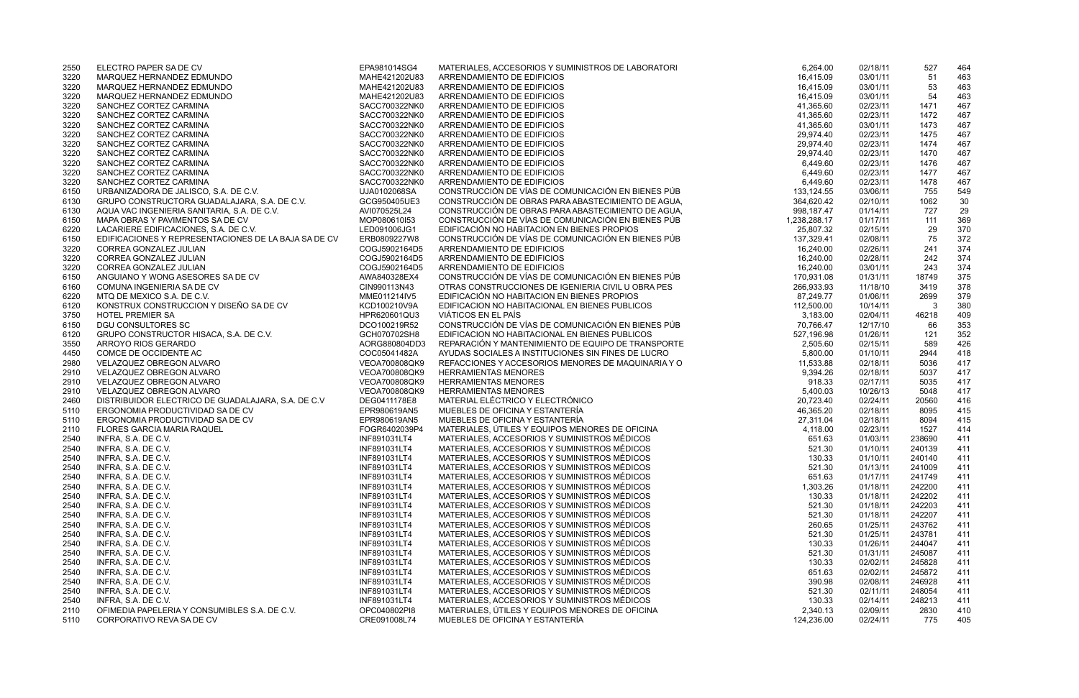| 6,264.00              | 02/18/11             | 527        | 464        |
|-----------------------|----------------------|------------|------------|
| 16,415.09             | 03/01/11             | 51         | 463        |
| 16,415.09             | 03/01/11             | 53         | 463        |
| 16,415.09             | 03/01/11             | 54         | 463        |
| 41,365.60             | 02/23/11             | 1471       | 467        |
| 41,365.60             | 02/23/11             | 1472       | 467        |
| 41,365.60             | 03/01/11             | 1473       | 467        |
| 29,974.40             | 02/23/11             | 1475       | 467        |
| 29,974.40             | 02/23/11             | 1474       | 467        |
| 29,974.40             | 02/23/11             | 1470       | 467        |
| 6,449.60              | 02/23/11             | 1476       | 467        |
| 6,449.60              | 02/23/11             | 1477       | 467        |
| 6,449.60              | 02/23/11             | 1478       | 467        |
| 133,124.55            | 03/06/11             | 755        | 549        |
| 364,620.42            | 02/10/11             | 1062       | 30         |
| 998,187.47            | 01/14/11             | 727        | 29         |
| 238,288.17            | 01/17/11             | 111        | 369        |
| 25,807.32             | 02/15/11             | 29         | 370        |
| 137,329.41            | 02/08/11             | 75         | 372        |
| 16,240.00             | 02/26/11             | 241        | 374        |
| 16,240.00             | 02/28/11             | 242        | 374        |
| 16,240.00             | 03/01/11             | 243        | 374        |
| 170,931.08            | 01/31/11             | 18749      | 375        |
| 266,933.93            | 11/18/10             | 3419       | 378        |
| 87,249.77             | 01/06/11             | 2699       | 379        |
| 112,500.00            | 10/14/11<br>02/04/11 | 3<br>46218 | 380        |
| 3,183.00<br>70,766.47 |                      |            | 409        |
| 527,196.98            | 12/17/10<br>01/26/11 | 66<br>121  | 353        |
| 2,505.60              | 02/15/11             | 589        | 352<br>426 |
| 5,800.00              | 01/10/11             | 2944       | 418        |
| 11,533.88             | 02/18/11             | 5036       | 417        |
| 9,394.26              | 02/18/11             | 5037       | 417        |
| 918.33                | 02/17/11             | 5035       | 417        |
| 5,400.03              | 10/26/13             | 5048       | 417        |
| 20,723.40             | 02/24/11             | 20560      | 416        |
| 46,365.20             | 02/18/11             | 8095       | 415        |
| 27,311.04             | 02/18/11             | 8094       | 415        |
| 4,118.00              | 02/23/11             | 1527       | 414        |
| 651.63                | 01/03/11             | 238690     | 411        |
| 521.30                | 01/10/11             | 240139     | 411        |
| 130.33                | 01/10/11             | 240140     | 411        |
| 521.30                | 01/13/11             | 241009     | 411        |
| 651.63                | 01/17/11             | 241749     | 411        |
| 1,303.26              | 01/18/11             | 242200     | 411        |
| 130.33                | 01/18/11             | 242202     | 411        |
| 521.30                | 01/18/11             | 242203     | 411        |
| 521.30                | 01/18/11             | 242207     | 411        |
| 260.65                | 01/25/11             | 243762     | 411        |
| 521.30                | 01/25/11             | 243781     | 411        |
| 130.33                | 01/26/11             | 244047     | 411        |
| 521.30                | 01/31/11             | 245087     | 411        |
| 130.33                | 02/02/11             | 245828     | 411        |
| 651.63                | 02/02/11             | 245872     | 411        |
| 390.98                | 02/08/11             | 246928     | 411        |
| 521.30                | 02/11/11             | 248054     | 411        |
| 130.33                | 02/14/11             | 248213     | 411        |
| 2,340.13              | 02/09/11             | 2830       | 410        |
| 124,236.00            | 02/24/11             | 775        | 405        |

| 2550 | ELECTRO PAPER SA DE CV                               | EPA981014SG4  | MATERIALES, ACCESORIOS Y SUMINISTROS DE LABORATORI | 6,264.00     | 02/18/11 | 527    | 464 |
|------|------------------------------------------------------|---------------|----------------------------------------------------|--------------|----------|--------|-----|
| 3220 | MARQUEZ HERNANDEZ EDMUNDO                            | MAHE421202U83 | ARRENDAMIENTO DE EDIFICIOS                         | 16,415.09    | 03/01/11 | 51     | 463 |
| 3220 | MARQUEZ HERNANDEZ EDMUNDO                            | MAHE421202U83 | ARRENDAMIENTO DE EDIFICIOS                         | 16,415.09    | 03/01/11 | 53     | 463 |
| 3220 | MARQUEZ HERNANDEZ EDMUNDO                            | MAHE421202U83 | ARRENDAMIENTO DE EDIFICIOS                         | 16,415.09    | 03/01/11 | 54     | 463 |
| 3220 | SANCHEZ CORTEZ CARMINA                               | SACC700322NK0 | ARRENDAMIENTO DE EDIFICIOS                         | 41,365.60    | 02/23/11 | 1471   | 467 |
| 3220 | SANCHEZ CORTEZ CARMINA                               | SACC700322NK0 | ARRENDAMIENTO DE EDIFICIOS                         | 41,365.60    | 02/23/11 | 1472   | 467 |
| 3220 | SANCHEZ CORTEZ CARMINA                               | SACC700322NK0 | ARRENDAMIENTO DE EDIFICIOS                         | 41,365.60    | 03/01/11 | 1473   | 467 |
| 3220 | SANCHEZ CORTEZ CARMINA                               | SACC700322NK0 | ARRENDAMIENTO DE EDIFICIOS                         | 29,974.40    | 02/23/11 | 1475   | 467 |
| 3220 | SANCHEZ CORTEZ CARMINA                               | SACC700322NK0 | ARRENDAMIENTO DE EDIFICIOS                         | 29,974.40    | 02/23/11 | 1474   | 467 |
| 3220 | SANCHEZ CORTEZ CARMINA                               | SACC700322NK0 | ARRENDAMIENTO DE EDIFICIOS                         | 29,974.40    | 02/23/11 | 1470   | 467 |
| 3220 | SANCHEZ CORTEZ CARMINA                               | SACC700322NK0 | ARRENDAMIENTO DE EDIFICIOS                         | 6,449.60     | 02/23/11 | 1476   | 467 |
| 3220 | SANCHEZ CORTEZ CARMINA                               | SACC700322NK0 | ARRENDAMIENTO DE EDIFICIOS                         | 6,449.60     | 02/23/11 | 1477   | 467 |
| 3220 | SANCHEZ CORTEZ CARMINA                               | SACC700322NK0 | ARRENDAMIENTO DE EDIFICIOS                         | 6,449.60     | 02/23/11 | 1478   | 467 |
| 6150 | URBANIZADORA DE JALISCO, S.A. DE C.V.                | UJA0102068SA  | CONSTRUCCIÓN DE VÍAS DE COMUNICACIÓN EN BIENES PÚB | 133,124.55   | 03/06/11 | 755    | 549 |
| 6130 | GRUPO CONSTRUCTORA GUADALAJARA, S.A. DE C.V.         | GCG950405UE3  | CONSTRUCCIÓN DE OBRAS PARA ABASTECIMIENTO DE AGUA, | 364,620.42   | 02/10/11 | 1062   | 30  |
| 6130 | AQUA VAC INGENIERIA SANITARIA, S.A. DE C.V.          | AVI070525L24  | CONSTRUCCIÓN DE OBRAS PARA ABASTECIMIENTO DE AGUA, | 998,187.47   | 01/14/11 | 727    | 29  |
| 6150 | MAPA OBRAS Y PAVIMENTOS SA DE CV                     | MOP080610I53  | CONSTRUCCIÓN DE VÍAS DE COMUNICACIÓN EN BIENES PÚB | 1,238,288.17 | 01/17/11 | 111    | 369 |
| 6220 | LACARIERE EDIFICACIONES, S.A. DE C.V.                | LED091006JG1  | EDIFICACIÓN NO HABITACION EN BIENES PROPIOS        | 25,807.32    | 02/15/11 | 29     | 370 |
| 6150 | EDIFICACIONES Y REPRESENTACIONES DE LA BAJA SA DE CV | ERB0809227W8  | CONSTRUCCIÓN DE VÍAS DE COMUNICACIÓN EN BIENES PÚB | 137,329.41   | 02/08/11 | 75     | 372 |
| 3220 | CORREA GONZALEZ JULIAN                               | COGJ5902164D5 | ARRENDAMIENTO DE EDIFICIOS                         | 16,240.00    | 02/26/11 | 241    | 374 |
| 3220 | CORREA GONZALEZ JULIAN                               | COGJ5902164D5 | ARRENDAMIENTO DE EDIFICIOS                         | 16,240.00    | 02/28/11 | 242    | 374 |
| 3220 | CORREA GONZALEZ JULIAN                               | COGJ5902164D5 | ARRENDAMIENTO DE EDIFICIOS                         | 16,240.00    | 03/01/11 | 243    | 374 |
| 6150 | ANGUIANO Y WONG ASESORES SA DE CV                    | AWA840328EX4  | CONSTRUCCIÓN DE VÍAS DE COMUNICACIÓN EN BIENES PÚB | 170,931.08   | 01/31/11 | 18749  | 375 |
| 6160 | COMUNA INGENIERIA SA DE CV                           | CIN990113N43  | OTRAS CONSTRUCCIONES DE IGENIERIA CIVIL U OBRA PES | 266,933.93   | 11/18/10 | 3419   | 378 |
| 6220 | MTQ DE MEXICO S.A. DE C.V.                           | MME011214IV5  | EDIFICACIÓN NO HABITACION EN BIENES PROPIOS        | 87,249.77    | 01/06/11 | 2699   | 379 |
| 6120 | KONSTRUX CONSTRUCCION Y DISEÑO SA DE CV              | KCD100210V9A  | EDIFICACION NO HABITACIONAL EN BIENES PUBLICOS     | 112,500.00   | 10/14/11 | 3      | 380 |
| 3750 | <b>HOTEL PREMIER SA</b>                              | HPR620601QU3  | VIÁTICOS EN EL PAÍS                                | 3,183.00     | 02/04/11 | 46218  | 409 |
| 6150 | <b>DGU CONSULTORES SC</b>                            | DCO100219R52  | CONSTRUCCIÓN DE VÍAS DE COMUNICACIÓN EN BIENES PÚB | 70,766.47    | 12/17/10 | 66     | 353 |
| 6120 | GRUPO CONSTRUCTOR HISACA, S.A. DE C.V.               | GCH070702SH8  | EDIFICACION NO HABITACIONAL EN BIENES PUBLICOS     | 527,196.98   | 01/26/11 | 121    | 352 |
| 3550 | ARROYO RIOS GERARDO                                  | AORG880804DD3 | REPARACIÓN Y MANTENIMIENTO DE EQUIPO DE TRANSPORTE | 2,505.60     | 02/15/11 | 589    | 426 |
| 4450 | COMCE DE OCCIDENTE AC                                | COC05041482A  | AYUDAS SOCIALES A INSTITUCIONES SIN FINES DE LUCRO | 5,800.00     | 01/10/11 | 2944   | 418 |
| 2980 | VELAZQUEZ OBREGON ALVARO                             | VEOA700808QK9 | REFACCIONES Y ACCESORIOS MENORES DE MAQUINARIA Y O | 11,533.88    | 02/18/11 | 5036   | 417 |
| 2910 | VELAZQUEZ OBREGON ALVARO                             | VEOA700808QK9 | <b>HERRAMIENTAS MENORES</b>                        | 9,394.26     | 02/18/11 | 5037   | 417 |
| 2910 | VELAZQUEZ OBREGON ALVARO                             | VEOA700808QK9 | <b>HERRAMIENTAS MENORES</b>                        | 918.33       | 02/17/11 | 5035   | 417 |
| 2910 | VELAZQUEZ OBREGON ALVARO                             | VEOA700808QK9 | <b>HERRAMIENTAS MENORES</b>                        | 5,400.03     | 10/26/13 | 5048   | 417 |
| 2460 | DISTRIBUIDOR ELECTRICO DE GUADALAJARA, S.A. DE C.V.  | DEG0411178E8  | MATERIAL ELÉCTRICO Y ELECTRÓNICO                   | 20,723.40    | 02/24/11 | 20560  | 416 |
| 5110 | ERGONOMIA PRODUCTIVIDAD SA DE CV                     | EPR980619AN5  | MUEBLES DE OFICINA Y ESTANTERÍA                    | 46,365.20    | 02/18/11 | 8095   | 415 |
| 5110 | ERGONOMIA PRODUCTIVIDAD SA DE CV                     | EPR980619AN5  | MUEBLES DE OFICINA Y ESTANTERÍA                    | 27,311.04    | 02/18/11 | 8094   | 415 |
| 2110 | <b>FLORES GARCIA MARIA RAQUEL</b>                    | FOGR6402039P4 | MATERIALES, ÚTILES Y EQUIPOS MENORES DE OFICINA    | 4,118.00     | 02/23/11 | 1527   | 414 |
| 2540 | INFRA, S.A. DE C.V.                                  | INF891031LT4  | MATERIALES, ACCESORIOS Y SUMINISTROS MÉDICOS       | 651.63       | 01/03/11 | 238690 | 411 |
| 2540 | INFRA, S.A. DE C.V.                                  | INF891031LT4  | MATERIALES, ACCESORIOS Y SUMINISTROS MÉDICOS       | 521.30       | 01/10/11 | 240139 | 411 |
| 2540 | INFRA, S.A. DE C.V.                                  | INF891031LT4  | MATERIALES, ACCESORIOS Y SUMINISTROS MÉDICOS       | 130.33       | 01/10/11 | 240140 | 411 |
| 2540 | INFRA, S.A. DE C.V.                                  | INF891031LT4  | MATERIALES, ACCESORIOS Y SUMINISTROS MÉDICOS       | 521.30       | 01/13/11 | 241009 | 411 |
| 2540 | INFRA, S.A. DE C.V.                                  | INF891031LT4  | MATERIALES, ACCESORIOS Y SUMINISTROS MÉDICOS       | 651.63       | 01/17/11 | 241749 | 411 |
| 2540 | INFRA, S.A. DE C.V.                                  | INF891031LT4  | MATERIALES, ACCESORIOS Y SUMINISTROS MÉDICOS       | 1,303.26     | 01/18/11 | 242200 | 411 |
| 2540 | INFRA, S.A. DE C.V.                                  | INF891031LT4  | MATERIALES, ACCESORIOS Y SUMINISTROS MÉDICOS       | 130.33       | 01/18/11 | 242202 | 411 |
| 2540 | INFRA, S.A. DE C.V.                                  | INF891031LT4  | MATERIALES, ACCESORIOS Y SUMINISTROS MÉDICOS       | 521.30       | 01/18/11 | 242203 | 411 |
| 2540 | INFRA, S.A. DE C.V.                                  | INF891031LT4  | MATERIALES, ACCESORIOS Y SUMINISTROS MÉDICOS       | 521.30       | 01/18/11 | 242207 | 411 |
| 2540 | INFRA, S.A. DE C.V.                                  | INF891031LT4  | MATERIALES, ACCESORIOS Y SUMINISTROS MÉDICOS       | 260.65       | 01/25/11 | 243762 | 411 |
| 2540 | INFRA, S.A. DE C.V.                                  | INF891031LT4  | MATERIALES, ACCESORIOS Y SUMINISTROS MÉDICOS       | 521.30       | 01/25/11 | 243781 | 411 |
| 2540 | INFRA, S.A. DE C.V.                                  | INF891031LT4  | MATERIALES, ACCESORIOS Y SUMINISTROS MÉDICOS       | 130.33       | 01/26/11 | 244047 | 411 |
| 2540 | INFRA, S.A. DE C.V.                                  | INF891031LT4  | MATERIALES, ACCESORIOS Y SUMINISTROS MÉDICOS       | 521.30       | 01/31/11 | 245087 | 411 |
| 2540 | INFRA, S.A. DE C.V.                                  | INF891031LT4  | MATERIALES, ACCESORIOS Y SUMINISTROS MÉDICOS       | 130.33       | 02/02/11 | 245828 | 411 |
| 2540 | INFRA, S.A. DE C.V.                                  | INF891031LT4  | MATERIALES, ACCESORIOS Y SUMINISTROS MÉDICOS       | 651.63       | 02/02/11 | 245872 | 411 |
| 2540 | INFRA, S.A. DE C.V.                                  | INF891031LT4  | MATERIALES, ACCESORIOS Y SUMINISTROS MÉDICOS       | 390.98       | 02/08/11 | 246928 | 411 |
| 2540 | INFRA, S.A. DE C.V.                                  | INF891031LT4  | MATERIALES, ACCESORIOS Y SUMINISTROS MÉDICOS       | 521.30       | 02/11/11 | 248054 | 411 |
| 2540 | INFRA, S.A. DE C.V.                                  | INF891031LT4  | MATERIALES, ACCESORIOS Y SUMINISTROS MÉDICOS       | 130.33       | 02/14/11 | 248213 | 411 |
| 2110 | OFIMEDIA PAPELERIA Y CONSUMIBLES S.A. DE C.V.        | OPC040802PI8  | MATERIALES, ÚTILES Y EQUIPOS MENORES DE OFICINA    | 2,340.13     | 02/09/11 | 2830   | 410 |
| 5110 | CORPORATIVO REVA SA DE CV                            | CRE091008L74  | MUEBLES DE OFICINA Y ESTANTERÍA                    | 124,236.00   | 02/24/11 | 775    | 405 |
|      |                                                      |               |                                                    |              |          |        |     |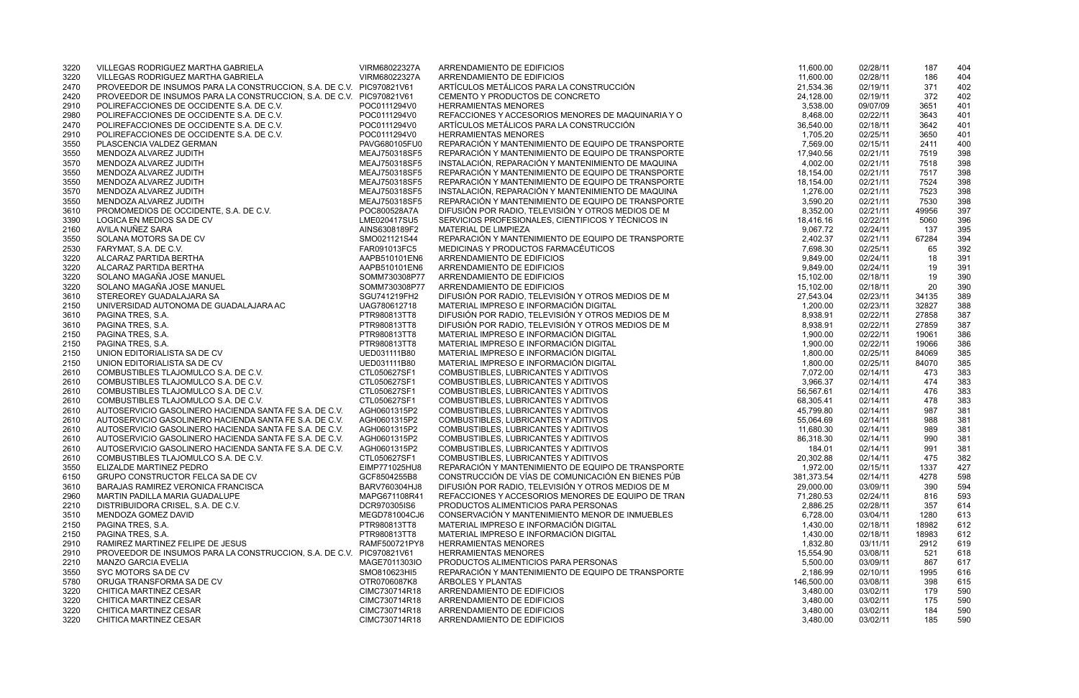| 3220 | VILLEGAS RODRIGUEZ MARTHA GABRIELA                                   | VIRM68022327A | ARRENDAMIENTO DE EDIFICIOS                         | 11,600.00  | 02/28/11 | 187   | 404 |
|------|----------------------------------------------------------------------|---------------|----------------------------------------------------|------------|----------|-------|-----|
| 3220 | VILLEGAS RODRIGUEZ MARTHA GABRIELA                                   | VIRM68022327A | ARRENDAMIENTO DE EDIFICIOS                         | 11,600.00  | 02/28/11 | 186   | 404 |
| 2470 | PROVEEDOR DE INSUMOS PARA LA CONSTRUCCION, S.A. DE C.V. PIC970821V61 |               | ARTÍCULOS METÁLICOS PARA LA CONSTRUCCIÓN           | 21,534.36  | 02/19/11 | 371   | 402 |
| 2420 | PROVEEDOR DE INSUMOS PARA LA CONSTRUCCION, S.A. DE C.V. PIC970821V61 |               | CEMENTO Y PRODUCTOS DE CONCRETO                    | 24,128.00  | 02/19/11 | 372   | 402 |
| 2910 | POLIREFACCIONES DE OCCIDENTE S.A. DE C.V.                            | POC0111294V0  | <b>HERRAMIENTAS MENORES</b>                        | 3,538.00   | 09/07/09 | 3651  | 401 |
| 2980 | POLIREFACCIONES DE OCCIDENTE S.A. DE C.V.                            | POC0111294V0  | REFACCIONES Y ACCESORIOS MENORES DE MAQUINARIA Y O | 8,468.00   | 02/22/11 | 3643  | 401 |
| 2470 | POLIREFACCIONES DE OCCIDENTE S.A. DE C.V.                            | POC0111294V0  | ARTÍCULOS METÁLICOS PARA LA CONSTRUCCIÓN           | 36,540.00  | 02/18/11 | 3642  | 401 |
| 2910 | POLIREFACCIONES DE OCCIDENTE S.A. DE C.V.                            | POC0111294V0  | <b>HERRAMIENTAS MENORES</b>                        | 1,705.20   | 02/25/11 | 3650  | 401 |
| 3550 | PLASCENCIA VALDEZ GERMAN                                             | PAVG680105FU0 | REPARACIÓN Y MANTENIMIENTO DE EQUIPO DE TRANSPORTE | 7,569.00   | 02/15/11 | 2411  | 400 |
| 3550 | MENDOZA ALVAREZ JUDITH                                               | MEAJ750318SF5 | REPARACIÓN Y MANTENIMIENTO DE EQUIPO DE TRANSPORTE | 17,940.56  | 02/21/11 | 7519  | 398 |
| 3570 | MENDOZA ALVAREZ JUDITH                                               | MEAJ750318SF5 | INSTALACIÓN, REPARACIÓN Y MANTENIMIENTO DE MAQUINA | 4,002.00   | 02/21/11 | 7518  | 398 |
| 3550 | MENDOZA ALVAREZ JUDITH                                               | MEAJ750318SF5 | REPARACIÓN Y MANTENIMIENTO DE EQUIPO DE TRANSPORTE | 18,154.00  | 02/21/11 | 7517  | 398 |
| 3550 | MENDOZA ALVAREZ JUDITH                                               | MEAJ750318SF5 | REPARACIÓN Y MANTENIMIENTO DE EQUIPO DE TRANSPORTE | 18,154.00  | 02/21/11 | 7524  | 398 |
| 3570 | MENDOZA ALVAREZ JUDITH                                               | MEAJ750318SF5 | INSTALACIÓN, REPARACIÓN Y MANTENIMIENTO DE MAQUINA | 1,276.00   | 02/21/11 | 7523  | 398 |
| 3550 | MENDOZA ALVAREZ JUDITH                                               | MEAJ750318SF5 | REPARACIÓN Y MANTENIMIENTO DE EQUIPO DE TRANSPORTE | 3,590.20   | 02/21/11 | 7530  | 398 |
| 3610 | PROMOMEDIOS DE OCCIDENTE, S.A. DE C.V.                               | POC800528A7A  | DIFUSIÓN POR RADIO, TELEVISIÓN Y OTROS MEDIOS DE M | 8,352.00   | 02/21/11 | 49956 | 397 |
| 3390 | LOGICA EN MEDIOS SA DE CV                                            | LME020417SU5  | SERVICIOS PROFESIONALES, CIENTIFICOS Y TÉCNICOS IN | 18,416.16  | 02/22/11 | 5060  | 396 |
| 2160 | AVILA NUÑEZ SARA                                                     | AINS6308189F2 | MATERIAL DE LIMPIEZA                               | 9,067.72   | 02/24/11 | 137   | 395 |
| 3550 | SOLANA MOTORS SA DE CV                                               | SMO021121S44  | REPARACIÓN Y MANTENIMIENTO DE EQUIPO DE TRANSPORTE | 2,402.37   | 02/21/11 | 67284 | 394 |
|      | FARYMAT, S.A. DE C.V.                                                | FAR091013FC5  | MEDICINAS Y PRODUCTOS FARMACÉUTICOS                | 7,698.30   |          |       | 392 |
| 2530 |                                                                      |               | ARRENDAMIENTO DE EDIFICIOS                         |            | 02/25/11 | 65    |     |
| 3220 | ALCARAZ PARTIDA BERTHA                                               | AAPB510101EN6 |                                                    | 9,849.00   | 02/24/11 | 18    | 391 |
| 3220 | ALCARAZ PARTIDA BERTHA                                               | AAPB510101EN6 | ARRENDAMIENTO DE EDIFICIOS                         | 9,849.00   | 02/24/11 | 19    | 391 |
| 3220 | SOLANO MAGAÑA JOSE MANUEL                                            | SOMM730308P77 | ARRENDAMIENTO DE EDIFICIOS                         | 15,102.00  | 02/18/11 | 19    | 390 |
| 3220 | SOLANO MAGAÑA JOSE MANUEL                                            | SOMM730308P77 | ARRENDAMIENTO DE EDIFICIOS                         | 15,102.00  | 02/18/11 | 20    | 390 |
| 3610 | STEREOREY GUADALAJARA SA                                             | SGU741219FH2  | DIFUSIÓN POR RADIO, TELEVISIÓN Y OTROS MEDIOS DE M | 27,543.04  | 02/23/11 | 34135 | 389 |
| 2150 | UNIVERSIDAD AUTONOMA DE GUADALAJARA AC                               | UAG780612718  | MATERIAL IMPRESO E INFORMACIÓN DIGITAL             | 1,200.00   | 02/23/11 | 32827 | 388 |
| 3610 | PAGINA TRES, S.A.                                                    | PTR980813TT8  | DIFUSIÓN POR RADIO, TELEVISIÓN Y OTROS MEDIOS DE M | 8,938.91   | 02/22/11 | 27858 | 387 |
| 3610 | PAGINA TRES, S.A.                                                    | PTR980813TT8  | DIFUSIÓN POR RADIO, TELEVISIÓN Y OTROS MEDIOS DE M | 8,938.91   | 02/22/11 | 27859 | 387 |
| 2150 | PAGINA TRES, S.A.                                                    | PTR980813TT8  | MATERIAL IMPRESO E INFORMACIÓN DIGITAL             | 1,900.00   | 02/22/11 | 19061 | 386 |
| 2150 | PAGINA TRES, S.A.                                                    | PTR980813TT8  | MATERIAL IMPRESO E INFORMACIÓN DIGITAL             | 1,900.00   | 02/22/11 | 19066 | 386 |
| 2150 | UNION EDITORIALISTA SA DE CV                                         | UED031111B80  | MATERIAL IMPRESO E INFORMACIÓN DIGITAL             | 1,800.00   | 02/25/11 | 84069 | 385 |
| 2150 | UNION EDITORIALISTA SA DE CV                                         | UED031111B80  | MATERIAL IMPRESO E INFORMACIÓN DIGITAL             | 1,800.00   | 02/25/11 | 84070 | 385 |
| 2610 | COMBUSTIBLES TLAJOMULCO S.A. DE C.V.                                 | CTL050627SF1  | COMBUSTIBLES, LUBRICANTES Y ADITIVOS               | 7,072.00   | 02/14/11 | 473   | 383 |
| 2610 | COMBUSTIBLES TLAJOMULCO S.A. DE C.V.                                 | CTL050627SF1  | COMBUSTIBLES, LUBRICANTES Y ADITIVOS               | 3,966.37   | 02/14/11 | 474   | 383 |
| 2610 | COMBUSTIBLES TLAJOMULCO S.A. DE C.V.                                 | CTL050627SF1  | COMBUSTIBLES, LUBRICANTES Y ADITIVOS               | 56,567.61  | 02/14/11 | 476   | 383 |
| 2610 | COMBUSTIBLES TLAJOMULCO S.A. DE C.V.                                 | CTL050627SF1  | COMBUSTIBLES, LUBRICANTES Y ADITIVOS               | 68,305.41  | 02/14/11 | 478   | 383 |
| 2610 | AUTOSERVICIO GASOLINERO HACIENDA SANTA FE S.A. DE C.V.               | AGH0601315P2  | COMBUSTIBLES, LUBRICANTES Y ADITIVOS               | 45,799.80  | 02/14/11 | 987   | 381 |
| 2610 | AUTOSERVICIO GASOLINERO HACIENDA SANTA FE S.A. DE C.V.               | AGH0601315P2  | COMBUSTIBLES, LUBRICANTES Y ADITIVOS               | 55,064.69  | 02/14/11 | 988   | 381 |
| 2610 | AUTOSERVICIO GASOLINERO HACIENDA SANTA FE S.A. DE C.V.               | AGH0601315P2  | COMBUSTIBLES, LUBRICANTES Y ADITIVOS               | 11,680.30  | 02/14/11 | 989   | 381 |
| 2610 | AUTOSERVICIO GASOLINERO HACIENDA SANTA FE S.A. DE C.V.               | AGH0601315P2  | COMBUSTIBLES, LUBRICANTES Y ADITIVOS               | 86,318.30  | 02/14/11 | 990   | 381 |
| 2610 | AUTOSERVICIO GASOLINERO HACIENDA SANTA FE S.A. DE C.V.               | AGH0601315P2  | COMBUSTIBLES, LUBRICANTES Y ADITIVOS               | 184.01     | 02/14/11 | 991   | 381 |
| 2610 | COMBUSTIBLES TLAJOMULCO S.A. DE C.V.                                 | CTL050627SF1  | COMBUSTIBLES, LUBRICANTES Y ADITIVOS               | 20,302.88  | 02/14/11 | 475   | 382 |
| 3550 | ELIZALDE MARTINEZ PEDRO                                              | EIMP771025HU8 | REPARACIÓN Y MANTENIMIENTO DE EQUIPO DE TRANSPORTE | 1,972.00   | 02/15/11 | 1337  | 427 |
| 6150 | <b>GRUPO CONSTRUCTOR FELCA SA DE CV</b>                              | GCF8504255B8  | CONSTRUCCIÓN DE VÍAS DE COMUNICACIÓN EN BIENES PÚB | 381,373.54 | 02/14/11 | 4278  | 598 |
| 3610 | BARAJAS RAMIREZ VERONICA FRANCISCA                                   | BARV760304HJ8 | DIFUSIÓN POR RADIO, TELEVISIÓN Y OTROS MEDIOS DE M | 29,000.00  | 03/09/11 | 390   | 594 |
| 2960 | MARTIN PADILLA MARIA GUADALUPE                                       | MAPG671108R41 | REFACCIONES Y ACCESORIOS MENORES DE EQUIPO DE TRAN | 71,280.53  | 02/24/11 | 816   | 593 |
| 2210 | DISTRIBUIDORA CRISEL, S.A. DE C.V.                                   | DCR970305IS6  | PRODUCTOS ALIMENTICIOS PARA PERSONAS               | 2,886.25   | 02/28/11 | 357   | 614 |
| 3510 | MENDOZA GOMEZ DAVID                                                  | MEGD781004CJ6 | CONSERVACIÓN Y MANTENIMIENTO MENOR DE INMUEBLES    | 6,728.00   | 03/04/11 | 1280  | 613 |
| 2150 | PAGINA TRES, S.A.                                                    | PTR980813TT8  | MATERIAL IMPRESO E INFORMACIÓN DIGITAL             | 1,430.00   | 02/18/11 | 18982 | 612 |
| 2150 | PAGINA TRES, S.A.                                                    | PTR980813TT8  | MATERIAL IMPRESO E INFORMACIÓN DIGITAL             | 1,430.00   | 02/18/11 | 18983 | 612 |
| 2910 | RAMIREZ MARTINEZ FELIPE DE JESUS                                     | RAMF500721PY8 | <b>HERRAMIENTAS MENORES</b>                        | 1,832.80   | 03/11/11 | 2912  | 619 |
|      |                                                                      |               |                                                    |            |          |       |     |
| 2910 | PROVEEDOR DE INSUMOS PARA LA CONSTRUCCION, S.A. DE C.V. PIC970821V61 |               | <b>HERRAMIENTAS MENORES</b>                        | 15,554.90  | 03/08/11 | 521   | 618 |
| 2210 | <b>MANZO GARCIA EVELIA</b>                                           | MAGE7011303IO | PRODUCTOS ALIMENTICIOS PARA PERSONAS               | 5,500.00   | 03/09/11 | 867   | 617 |
| 3550 | SYC MOTORS SA DE CV                                                  | SMO810623HI5  | REPARACIÓN Y MANTENIMIENTO DE EQUIPO DE TRANSPORTE | 2,186.99   | 02/10/11 | 1995  | 616 |
| 5780 | ORUGA TRANSFORMA SA DE CV                                            | OTR0706087K8  | ÁRBOLES Y PLANTAS                                  | 146,500.00 | 03/08/11 | 398   | 615 |
| 3220 | CHITICA MARTINEZ CESAR                                               | CIMC730714R18 | ARRENDAMIENTO DE EDIFICIOS                         | 3,480.00   | 03/02/11 | 179   | 590 |
| 3220 | CHITICA MARTINEZ CESAR                                               | CIMC730714R18 | ARRENDAMIENTO DE EDIFICIOS                         | 3,480.00   | 03/02/11 | 175   | 590 |
| 3220 | CHITICA MARTINEZ CESAR                                               | CIMC730714R18 | ARRENDAMIENTO DE EDIFICIOS                         | 3,480.00   | 03/02/11 | 184   | 590 |
| 3220 | CHITICA MARTINEZ CESAR                                               | CIMC730714R18 | ARRENDAMIENTO DE EDIFICIOS                         | 3,480.00   | 03/02/11 | 185   | 590 |

| 11,600.00             | 02/28/11             | 187         | 404        |
|-----------------------|----------------------|-------------|------------|
| 11,600.00             | 02/28/11             | 186         | 404        |
| 21,534.36             | 02/19/11             | 371         | 402        |
| 24,128.00             | 02/19/11             | 372         | 402        |
| 3,538.00              | 09/07/09             | 3651        | 401        |
| 8,468.00              | 02/22/11             | 3643        | 401        |
| 36,540.00             | 02/18/11             | 3642        | 401        |
| 1,705.20              | 02/25/11             | 3650        | 401        |
| 7,569.00              | 02/15/11             | 2411        | 400        |
| 17,940.56             | 02/21/11             | 7519        | 398        |
| 4,002.00              | 02/21/11             | 7518        | 398        |
| 18,154.00             | 02/21/11             | 7517        | 398        |
| 18,154.00             | 02/21/11             | 7524        | 398        |
| 1,276.00              | 02/21/11             | 7523        | 398        |
| 3,590.20              | 02/21/11             | 7530        | 398        |
| 8,352.00              | 02/21/11<br>02/22/11 | 49956       | 397        |
| 18,416.16<br>9,067.72 | 02/24/11             | 5060<br>137 | 396<br>395 |
| 2,402.37              | 02/21/11             | 67284       | 394        |
| 7,698.30              | 02/25/11             | 65          | 392        |
| 9,849.00              | 02/24/11             | 18          | 391        |
| 9,849.00              | 02/24/11             | 19          | 391        |
| 15,102.00             | 02/18/11             | 19          | 390        |
| 15,102.00             | 02/18/11             | 20          | 390        |
| 27,543.04             | 02/23/11             | 34135       | 389        |
| 1,200.00              | 02/23/11             | 32827       | 388        |
| 8,938.91              | 02/22/11             | 27858       | 387        |
| 8,938.91              | 02/22/11             | 27859       | 387        |
| 1,900.00              | 02/22/11             | 19061       | 386        |
| 1,900.00              | 02/22/11             | 19066       | 386        |
| 1,800.00              | 02/25/11             | 84069       | 385        |
| 1,800.00              | 02/25/11             | 84070       | 385        |
| 7,072.00              | 02/14/11             | 473         | 383        |
| 3,966.37              | 02/14/11             | 474         | 383        |
| 56,567.61             | 02/14/11             | 476         | 383        |
| 68,305.41             | 02/14/11             | 478         | 383        |
| 45,799.80             | 02/14/11             | 987         | 381        |
| 55,064.69             | 02/14/11<br>02/14/11 | 988         | 381        |
| 11,680.30             | 02/14/11             | 989<br>990  | 381<br>381 |
| 86,318.30<br>184.01   | 02/14/11             | 991         | 381        |
| 20,302.88             | 02/14/11             | 475         | 382        |
| 1,972.00              | 02/15/11             | 1337        | 427        |
| 381,373.54            | 02/14/11             | 4278        | 598        |
| 29,000.00             | 03/09/11             | 390         | 594        |
| 71,280.53             | 02/24/11             | 816         | 593        |
| 2,886.25              | 02/28/11             | 357         | 614        |
| 6,728.00              | 03/04/11             | 1280        | 613        |
| 1,430.00              | 02/18/11             | 18982       | 612        |
| 1,430.00              | 02/18/11             | 18983       | 612        |
| 1,832.80              | 03/11/11             | 2912        | 619        |
| 15,554.90             | 03/08/11             | 521         | 618        |
| 5,500.00              | 03/09/11             | 867         | 617        |
| 2,186.99              | 02/10/11             | 1995        | 616        |
| 146,500.00            | 03/08/11             | 398         | 615        |
| 3,480.00              | 03/02/11             | 179         | 590        |
| 3,480.00              | 03/02/11             | 175         | 590        |
| 3,480.00              | 03/02/11             | 184         | 590        |
| 3,480.00              | 03/02/11             | 185         | 590        |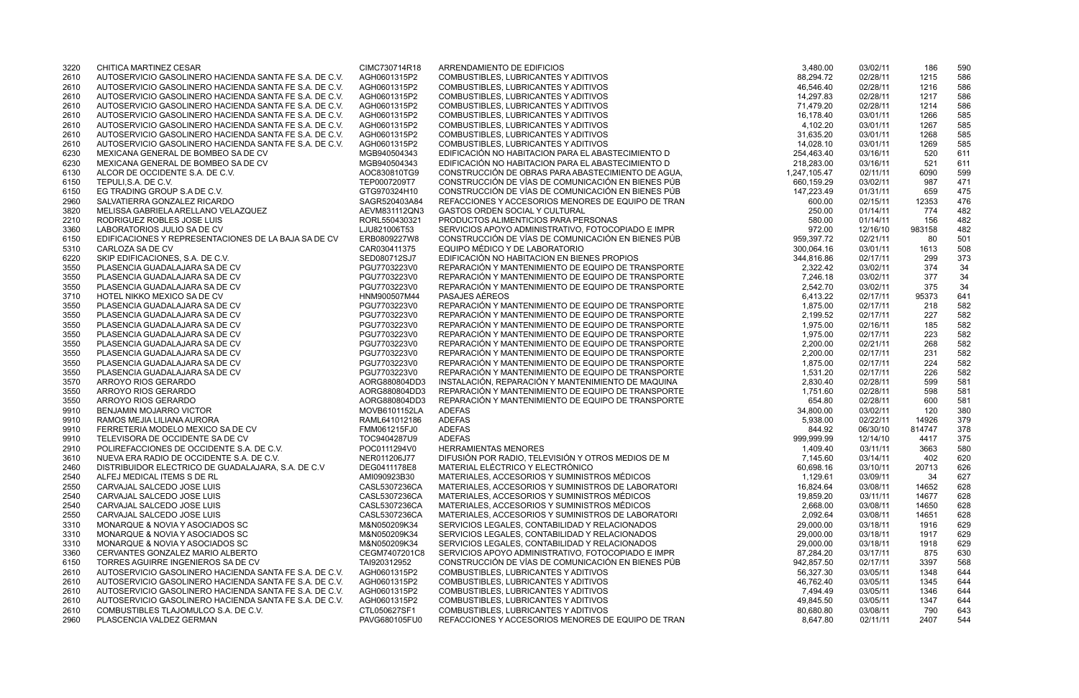| 3220 | CHITICA MARTINEZ CESAR                                 | CIMC730714R18 | ARRENDAMIENTO DE EDIFICIOS                         | 3,480.00     | 03/02/11 | 186    | 590 |
|------|--------------------------------------------------------|---------------|----------------------------------------------------|--------------|----------|--------|-----|
| 2610 | AUTOSERVICIO GASOLINERO HACIENDA SANTA FE S.A. DE C.V. | AGH0601315P2  | COMBUSTIBLES, LUBRICANTES Y ADITIVOS               | 88,294.72    | 02/28/11 | 1215   | 586 |
| 2610 | AUTOSERVICIO GASOLINERO HACIENDA SANTA FE S.A. DE C.V. | AGH0601315P2  | COMBUSTIBLES, LUBRICANTES Y ADITIVOS               | 46,546.40    | 02/28/11 | 1216   | 586 |
| 2610 | AUTOSERVICIO GASOLINERO HACIENDA SANTA FE S.A. DE C.V. | AGH0601315P2  | COMBUSTIBLES, LUBRICANTES Y ADITIVOS               | 14,297.83    | 02/28/11 | 1217   | 586 |
| 2610 | AUTOSERVICIO GASOLINERO HACIENDA SANTA FE S.A. DE C.V. | AGH0601315P2  | COMBUSTIBLES, LUBRICANTES Y ADITIVOS               | 71,479.20    | 02/28/11 | 1214   | 586 |
| 2610 | AUTOSERVICIO GASOLINERO HACIENDA SANTA FE S.A. DE C.V. | AGH0601315P2  | COMBUSTIBLES, LUBRICANTES Y ADITIVOS               | 16,178.40    | 03/01/11 | 1266   | 585 |
| 2610 | AUTOSERVICIO GASOLINERO HACIENDA SANTA FE S.A. DE C.V. | AGH0601315P2  | COMBUSTIBLES, LUBRICANTES Y ADITIVOS               | 4,102.20     | 03/01/11 | 1267   | 585 |
| 2610 | AUTOSERVICIO GASOLINERO HACIENDA SANTA FE S.A. DE C.V. | AGH0601315P2  | COMBUSTIBLES, LUBRICANTES Y ADITIVOS               | 31,635.20    | 03/01/11 | 1268   | 585 |
| 2610 | AUTOSERVICIO GASOLINERO HACIENDA SANTA FE S.A. DE C.V. | AGH0601315P2  | COMBUSTIBLES, LUBRICANTES Y ADITIVOS               | 14,028.10    | 03/01/11 | 1269   | 585 |
| 6230 | MEXICANA GENERAL DE BOMBEO SA DE CV                    | MGB940504343  | EDIFICACIÓN NO HABITACION PARA EL ABASTECIMIENTO D | 254,463.40   | 03/16/11 | 520    | 611 |
| 6230 | MEXICANA GENERAL DE BOMBEO SA DE CV                    | MGB940504343  | EDIFICACIÓN NO HABITACION PARA EL ABASTECIMIENTO D | 218,283.00   | 03/16/11 | 521    | 611 |
| 6130 | ALCOR DE OCCIDENTE S.A. DE C.V.                        | AOC830810TG9  | CONSTRUCCIÓN DE OBRAS PARA ABASTECIMIENTO DE AGUA, | 1,247,105.47 | 02/11/11 | 6090   | 599 |
| 6150 | TEPULI, S.A. DE C.V.                                   | TEP0007209T7  | CONSTRUCCIÓN DE VÍAS DE COMUNICACIÓN EN BIENES PÚB | 660,159.29   | 03/02/11 | 987    | 471 |
| 6150 | EG TRADING GROUP S.A DE C.V.                           | GTG970324H10  | CONSTRUCCIÓN DE VÍAS DE COMUNICACIÓN EN BIENES PÚB | 147,223.49   | 01/31/11 | 659    | 475 |
| 2960 | SALVATIERRA GONZALEZ RICARDO                           | SAGR520403A84 | REFACCIONES Y ACCESORIOS MENORES DE EQUIPO DE TRAN | 600.00       | 02/15/11 | 12353  | 476 |
| 3820 | MELISSA GABRIELA ARELLANO VELAZQUEZ                    | AEVM831112QN3 | <b>GASTOS ORDEN SOCIAL Y CULTURAL</b>              | 250.00       | 01/14/11 | 774    | 482 |
| 2210 | RODRIGUEZ ROBLES JOSE LUIS                             | RORL550430321 | PRODUCTOS ALIMENTICIOS PARA PERSONAS               | 580.00       | 01/14/11 | 156    | 482 |
| 3360 | LABORATORIOS JULIO SA DE CV                            | LJU821006T53  | SERVICIOS APOYO ADMINISTRATIVO, FOTOCOPIADO E IMPR | 972.00       | 12/16/10 | 983158 | 482 |
| 6150 | EDIFICACIONES Y REPRESENTACIONES DE LA BAJA SA DE CV   | ERB0809227W8  | CONSTRUCCIÓN DE VÍAS DE COMUNICACIÓN EN BIENES PÚB | 959,397.72   | 02/21/11 | 80     | 501 |
| 5310 | CARLOZA SA DE CV                                       | CAR030411375  | EQUIPO MÉDICO Y DE LABORATORIO                     | 300,064.16   | 03/01/11 | 1613   | 508 |
| 6220 | SKIP EDIFICACIONES, S.A. DE C.V.                       | SED080712SJ7  | EDIFICACIÓN NO HABITACION EN BIENES PROPIOS        | 344,816.86   | 02/17/11 | 299    | 373 |
| 3550 | PLASENCIA GUADALAJARA SA DE CV                         | PGU7703223V0  | REPARACIÓN Y MANTENIMIENTO DE EQUIPO DE TRANSPORTE | 2,322.42     | 03/02/11 | 374    | 34  |
| 3550 | PLASENCIA GUADALAJARA SA DE CV                         | PGU7703223V0  | REPARACIÓN Y MANTENIMIENTO DE EQUIPO DE TRANSPORTE | 7,246.18     | 03/02/11 | 377    | 34  |
| 3550 | PLASENCIA GUADALAJARA SA DE CV                         | PGU7703223V0  | REPARACIÓN Y MANTENIMIENTO DE EQUIPO DE TRANSPORTE | 2,542.70     | 03/02/11 | 375    | 34  |
| 3710 | HOTEL NIKKO MEXICO SA DE CV                            | HNM900507M44  | PASAJES AÉREOS                                     | 6,413.22     | 02/17/11 | 95373  | 641 |
| 3550 | PLASENCIA GUADALAJARA SA DE CV                         | PGU7703223V0  | REPARACIÓN Y MANTENIMIENTO DE EQUIPO DE TRANSPORTE | 1,875.00     | 02/17/11 | 218    | 582 |
| 3550 | PLASENCIA GUADALAJARA SA DE CV                         | PGU7703223V0  | REPARACIÓN Y MANTENIMIENTO DE EQUIPO DE TRANSPORTE | 2,199.52     | 02/17/11 | 227    | 582 |
| 3550 | PLASENCIA GUADALAJARA SA DE CV                         | PGU7703223V0  | REPARACIÓN Y MANTENIMIENTO DE EQUIPO DE TRANSPORTE | 1,975.00     | 02/16/11 | 185    | 582 |
| 3550 | PLASENCIA GUADALAJARA SA DE CV                         | PGU7703223V0  | REPARACIÓN Y MANTENIMIENTO DE EQUIPO DE TRANSPORTE | 1,975.00     | 02/17/11 | 223    | 582 |
| 3550 | PLASENCIA GUADALAJARA SA DE CV                         | PGU7703223V0  | REPARACIÓN Y MANTENIMIENTO DE EQUIPO DE TRANSPORTE | 2,200.00     | 02/21/11 | 268    | 582 |
| 3550 | PLASENCIA GUADALAJARA SA DE CV                         | PGU7703223V0  | REPARACIÓN Y MANTENIMIENTO DE EQUIPO DE TRANSPORTE | 2,200.00     | 02/17/11 | 231    | 582 |
| 3550 | PLASENCIA GUADALAJARA SA DE CV                         | PGU7703223V0  | REPARACIÓN Y MANTENIMIENTO DE EQUIPO DE TRANSPORTE | 1,875.00     | 02/17/11 | 224    | 582 |
| 3550 | PLASENCIA GUADALAJARA SA DE CV                         | PGU7703223V0  | REPARACIÓN Y MANTENIMIENTO DE EQUIPO DE TRANSPORTE | 1,531.20     | 02/17/11 | 226    | 582 |
| 3570 | ARROYO RIOS GERARDO                                    | AORG880804DD3 | INSTALACIÓN, REPARACIÓN Y MANTENIMIENTO DE MAQUINA | 2,830.40     | 02/28/11 | 599    | 581 |
| 3550 | ARROYO RIOS GERARDO                                    | AORG880804DD3 | REPARACIÓN Y MANTENIMIENTO DE EQUIPO DE TRANSPORTE | 1,751.60     | 02/28/11 | 598    | 581 |
| 3550 | ARROYO RIOS GERARDO                                    | AORG880804DD3 | REPARACIÓN Y MANTENIMIENTO DE EQUIPO DE TRANSPORTE | 654.80       | 02/28/11 | 600    | 581 |
| 9910 | BENJAMIN MOJARRO VICTOR                                | MOVB6101152LA | <b>ADEFAS</b>                                      | 34,800.00    | 03/02/11 | 120    | 380 |
| 9910 | RAMOS MEJIA LILIANA AURORA                             | RAML641012186 | <b>ADEFAS</b>                                      | 5,938.00     | 02/22/11 | 14926  | 379 |
| 9910 | FERRETERIA MODELO MEXICO SA DE CV                      | FMM061215FJ0  | <b>ADEFAS</b>                                      | 844.92       | 06/30/10 | 814747 | 378 |
| 9910 | TELEVISORA DE OCCIDENTE SA DE CV                       | TOC9404287U9  | <b>ADEFAS</b>                                      | 999,999.99   | 12/14/10 | 4417   | 375 |
| 2910 | POLIREFACCIONES DE OCCIDENTE S.A. DE C.V.              | POC0111294V0  | <b>HERRAMIENTAS MENORES</b>                        | 1,409.40     | 03/11/11 | 3663   | 580 |
| 3610 | NUEVA ERA RADIO DE OCCIDENTE S.A. DE C.V.              | NER011206J77  | DIFUSIÓN POR RADIO, TELEVISIÓN Y OTROS MEDIOS DE M | 7,145.60     | 03/14/11 | 402    | 620 |
| 2460 | DISTRIBUIDOR ELECTRICO DE GUADALAJARA, S.A. DE C.V.    | DEG0411178E8  | MATERIAL ELÉCTRICO Y ELECTRÓNICO                   | 60,698.16    | 03/10/11 | 20713  | 626 |
| 2540 | ALFEJ MEDICAL ITEMS S DE RL                            | AMI090923B30  | MATERIALES, ACCESORIOS Y SUMINISTROS MÉDICOS       | 1,129.61     | 03/09/11 | 34     | 627 |
| 2550 | CARVAJAL SALCEDO JOSE LUIS                             | CASL5307236CA | MATERIALES, ACCESORIOS Y SUMINISTROS DE LABORATORI | 16,824.64    | 03/08/11 | 14652  | 628 |
| 2540 | CARVAJAL SALCEDO JOSE LUIS                             | CASL5307236CA | MATERIALES, ACCESORIOS Y SUMINISTROS MÉDICOS       | 19,859.20    | 03/11/11 | 14677  | 628 |
| 2540 | CARVAJAL SALCEDO JOSE LUIS                             | CASL5307236CA | MATERIALES, ACCESORIOS Y SUMINISTROS MÉDICOS       | 2,668.00     | 03/08/11 | 14650  | 628 |
| 2550 | CARVAJAL SALCEDO JOSE LUIS                             | CASL5307236CA | MATERIALES, ACCESORIOS Y SUMINISTROS DE LABORATORI | 2,092.64     | 03/08/11 | 14651  | 628 |
| 3310 | MONARQUE & NOVIA Y ASOCIADOS SC                        | M&N050209K34  | SERVICIOS LEGALES, CONTABILIDAD Y RELACIONADOS     | 29,000.00    | 03/18/11 | 1916   | 629 |
| 3310 | MONARQUE & NOVIA Y ASOCIADOS SC                        | M&N050209K34  | SERVICIOS LEGALES, CONTABILIDAD Y RELACIONADOS     | 29,000.00    | 03/18/11 | 1917   | 629 |
| 3310 | MONARQUE & NOVIA Y ASOCIADOS SC                        | M&N050209K34  | SERVICIOS LEGALES, CONTABILIDAD Y RELACIONADOS     | 29,000.00    | 03/18/11 | 1918   | 629 |
| 3360 | CERVANTES GONZALEZ MARIO ALBERTO                       | CEGM7407201C8 | SERVICIOS APOYO ADMINISTRATIVO, FOTOCOPIADO E IMPR | 87,284.20    | 03/17/11 | 875    | 630 |
| 6150 | TORRES AGUIRRE INGENIEROS SA DE CV                     | TAI920312952  | CONSTRUCCIÓN DE VÍAS DE COMUNICACIÓN EN BIENES PÚB | 942,857.50   | 02/17/11 | 3397   | 568 |
| 2610 | AUTOSERVICIO GASOLINERO HACIENDA SANTA FE S.A. DE C.V. | AGH0601315P2  | COMBUSTIBLES, LUBRICANTES Y ADITIVOS               | 56,327.30    | 03/05/11 | 1348   | 644 |
| 2610 | AUTOSERVICIO GASOLINERO HACIENDA SANTA FE S.A. DE C.V. | AGH0601315P2  | COMBUSTIBLES, LUBRICANTES Y ADITIVOS               | 46,762.40    | 03/05/11 | 1345   | 644 |
| 2610 | AUTOSERVICIO GASOLINERO HACIENDA SANTA FE S.A. DE C.V. | AGH0601315P2  | COMBUSTIBLES, LUBRICANTES Y ADITIVOS               | 7,494.49     | 03/05/11 | 1346   | 644 |
| 2610 | AUTOSERVICIO GASOLINERO HACIENDA SANTA FE S.A. DE C.V. | AGH0601315P2  | COMBUSTIBLES, LUBRICANTES Y ADITIVOS               | 49,845.50    | 03/05/11 | 1347   | 644 |
| 2610 | COMBUSTIBLES TLAJOMULCO S.A. DE C.V.                   | CTL050627SF1  | COMBUSTIBLES, LUBRICANTES Y ADITIVOS               | 80,680.80    | 03/08/11 | 790    | 643 |
| 2960 | PLASCENCIA VALDEZ GERMAN                               | PAVG680105FU0 | REFACCIONES Y ACCESORIOS MENORES DE EQUIPO DE TRAN | 8,647.80     | 02/11/11 | 2407   | 544 |
|      |                                                        |               |                                                    |              |          |        |     |

| 3.480.00   | 03/02/11 | 186    | 590 |
|------------|----------|--------|-----|
| 88,294.72  | 02/28/11 | 1215   | 586 |
| 46,546.40  | 02/28/11 | 1216   | 586 |
| 14,297.83  | 02/28/11 | 1217   | 586 |
| 71,479.20  | 02/28/11 | 1214   | 586 |
| 16,178.40  | 03/01/11 | 1266   | 585 |
| 4,102.20   | 03/01/11 | 1267   | 585 |
| 31,635.20  | 03/01/11 | 1268   | 585 |
| 14,028.10  | 03/01/11 | 1269   | 585 |
| 254,463.40 | 03/16/11 | 520    | 611 |
| 218,283.00 | 03/16/11 | 521    | 611 |
| 247,105.47 | 02/11/11 | 6090   | 599 |
| 660,159.29 | 03/02/11 | 987    | 471 |
| 147,223.49 | 01/31/11 | 659    | 475 |
| 600.00     | 02/15/11 | 12353  | 476 |
| 250.00     | 01/14/11 | 774    | 482 |
| 580.00     | 01/14/11 | 156    | 482 |
| 972.00     | 12/16/10 | 983158 | 482 |
| 959,397.72 | 02/21/11 | 80     | 501 |
| 300,064.16 | 03/01/11 | 1613   | 508 |
| 344,816.86 | 02/17/11 | 299    | 373 |
| 2,322.42   | 03/02/11 | 374    | 34  |
| 7,246.18   | 03/02/11 | 377    | 34  |
| 2,542.70   | 03/02/11 | 375    | 34  |
| 6,413.22   | 02/17/11 | 95373  | 641 |
| 1,875.00   | 02/17/11 | 218    | 582 |
| 2,199.52   | 02/17/11 | 227    | 582 |
| 1,975.00   | 02/16/11 | 185    | 582 |
| 1,975.00   | 02/17/11 | 223    | 582 |
| 2,200.00   | 02/21/11 | 268    | 582 |
| 2,200.00   | 02/17/11 | 231    | 582 |
| 1,875.00   | 02/17/11 | 224    | 582 |
| 1,531.20   | 02/17/11 | 226    | 582 |
| 2,830.40   | 02/28/11 | 599    | 581 |
| 1,751.60   | 02/28/11 | 598    | 581 |
| 654.80     | 02/28/11 | 600    | 581 |
| 34,800.00  | 03/02/11 | 120    | 380 |
| 5,938.00   | 02/22/11 | 14926  | 379 |
| 844.92     | 06/30/10 | 814747 | 378 |
| 999,999.99 | 12/14/10 | 4417   | 375 |
| 1,409.40   | 03/11/11 | 3663   | 580 |
| 7,145.60   | 03/14/11 | 402    | 620 |
| 60,698.16  | 03/10/11 | 20713  | 626 |
| 1,129.61   | 03/09/11 | 34     | 627 |
| 16,824.64  | 03/08/11 | 14652  | 628 |
| 19,859.20  | 03/11/11 | 14677  | 628 |
| 2,668.00   | 03/08/11 | 14650  | 628 |
| 2,092.64   | 03/08/11 | 14651  | 628 |
| 29,000.00  | 03/18/11 | 1916   | 629 |
| 29,000.00  | 03/18/11 | 1917   | 629 |
| 29,000.00  | 03/18/11 | 1918   | 629 |
| 87,284.20  | 03/17/11 | 875    | 630 |
| 942,857.50 | 02/17/11 | 3397   | 568 |
| 56,327.30  | 03/05/11 | 1348   | 644 |
| 46,762.40  | 03/05/11 | 1345   | 644 |
| 7,494.49   | 03/05/11 | 1346   | 644 |
| 49,845.50  | 03/05/11 | 1347   | 644 |
| 80,680.80  | 03/08/11 | 790    | 643 |
| 8,647.80   | 02/11/11 | 2407   | 544 |
|            |          |        |     |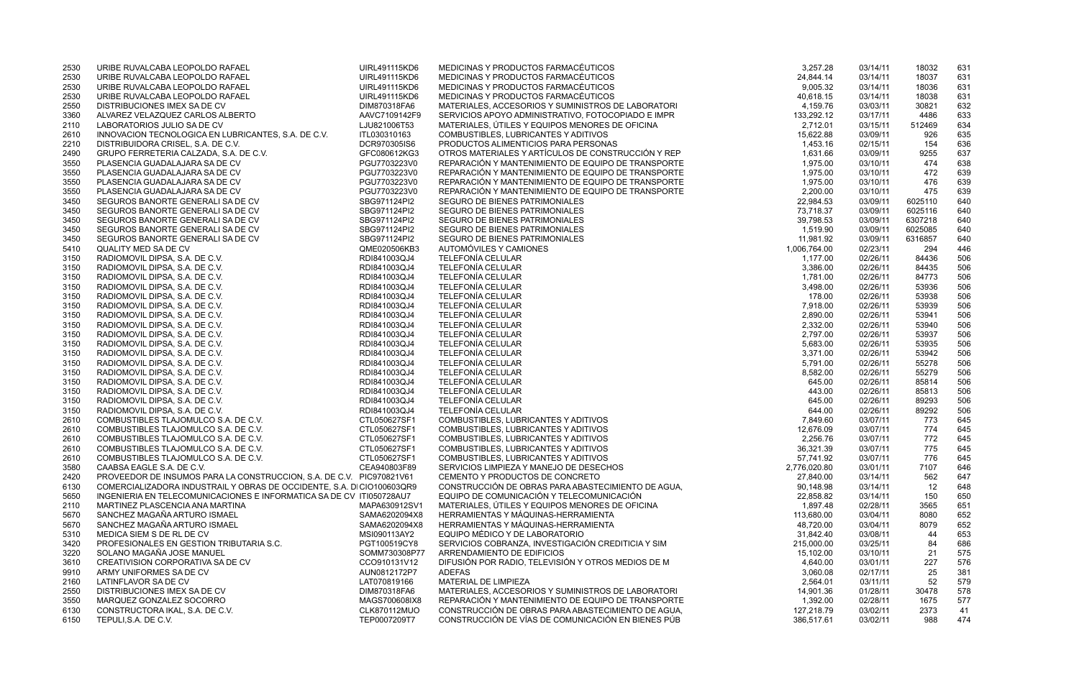| 3,257.28               | 03/14/11             | 18032              | 631        |
|------------------------|----------------------|--------------------|------------|
| 24,844.14              | 03/14/11             | 18037              | 631        |
| 9,005.32               | 03/14/11             | 18036              | 631        |
| 40,618.15              | 03/14/11             | 18038              | 631        |
| 4,159.76               | 03/03/11             | 30821              | 632        |
| 133,292.12             | 03/17/11             | 4486               | 633        |
| 2,712.01               | 03/15/11             | 512469             | 634        |
| 15,622.88              | 03/09/11             | 926                | 635        |
| 1,453.16               | 02/15/11             | 154                | 636        |
| 1,631.66               | 03/09/11             | 9255               | 637        |
| 1,975.00               | 03/10/11             | 474                | 638        |
| 1,975.00               | 03/10/11             | 472                | 639        |
| 1,975.00               | 03/10/11             | 476                | 639        |
| 2,200.00               | 03/10/11             | 475                | 639        |
| 22,984.53              | 03/09/11             | 6025110            | 640        |
| 73,718.37              | 03/09/11             | 6025116            | 640        |
| 39,798.53<br>1,519.90  | 03/09/11<br>03/09/11 | 6307218<br>6025085 | 640<br>640 |
| 11,981.92              | 03/09/11             | 6316857            | 640        |
| 1,006,764.00           | 02/23/11             | 294                | 446        |
| 1,177.00               | 02/26/11             | 84436              | 506        |
| 3,386.00               | 02/26/11             | 84435              | 506        |
| 1,781.00               | 02/26/11             | 84773              | 506        |
| 3,498.00               | 02/26/11             | 53936              | 506        |
| 178.00                 | 02/26/11             | 53938              | 506        |
| 7,918.00               | 02/26/11             | 53939              | 506        |
| 2,890.00               | 02/26/11             | 53941              | 506        |
| 2,332.00               | 02/26/11             | 53940              | 506        |
| 2,797.00               | 02/26/11             | 53937              | 506        |
| 5,683.00               | 02/26/11             | 53935              | 506        |
| 3,371.00               | 02/26/11             | 53942              | 506        |
| 5,791.00               | 02/26/11             | 55278              | 506        |
| 8,582.00               | 02/26/11             | 55279              | 506        |
| 645.00                 | 02/26/11             | 85814              | 506        |
| 443.00                 | 02/26/11             | 85813              | 506        |
| 645.00                 | 02/26/11             | 89293              | 506        |
| 644.00                 | 02/26/11             | 89292              | 506        |
| 7,849.60               | 03/07/11             | 773                | 645        |
| 12,676.09              | 03/07/11             | 774                | 645        |
| 2,256.76               | 03/07/11             | 772                | 645        |
| 36,321.39              | 03/07/11             | 775                | 645        |
| 57,741.92              | 03/07/11             | 776                | 645        |
| 2,776,020.80           | 03/01/11             | 7107               | 646        |
| 27,840.00              | 03/14/11             | 562                | 647        |
| 90,148.98              | 03/14/11             | 12                 | 648        |
| 22,858.82              | 03/14/11             | 150                | 650        |
| 1,897.48<br>113,680.00 | 02/28/11             | 3565<br>8080       | 651        |
| 48,720.00              | 03/04/11<br>03/04/11 | 8079               | 652<br>652 |
| 31,842.40              | 03/08/11             | 44                 | 653        |
| 215,000.00             | 03/25/11             | 84                 | 686        |
| 15,102.00              | 03/10/11             | 21                 | 575        |
| 4,640.00               | 03/01/11             | 227                | 576        |
| 3,060.08               | 02/17/11             | 25                 | 381        |
| 2,564.01               | 03/11/11             | 52                 | 579        |
| 14,901.36              | 01/28/11             | 30478              | 578        |
| 1,392.00               | 02/28/11             | 1675               | 577        |
| 127,218.79             | 03/02/11             | 2373               | 41         |
| 386,517.61             | 03/02/11             | 988                | 474        |
|                        |                      |                    |            |

| 2530         | URIBE RUVALCABA LEOPOLDO RAFAEL                                       | UIRL491115KD6                | MEDICINAS Y PRODUCTOS FARMACÉUTICOS                                             | 3,257.28                  | 03/14/11             | 18032        | 631        |
|--------------|-----------------------------------------------------------------------|------------------------------|---------------------------------------------------------------------------------|---------------------------|----------------------|--------------|------------|
| 2530         | URIBE RUVALCABA LEOPOLDO RAFAEL                                       | UIRL491115KD6                | MEDICINAS Y PRODUCTOS FARMACÉUTICOS                                             | 24,844.14                 | 03/14/11             | 18037        | 631        |
| 2530         | URIBE RUVALCABA LEOPOLDO RAFAEL                                       | UIRL491115KD6                | MEDICINAS Y PRODUCTOS FARMACÉUTICOS                                             | 9,005.32                  | 03/14/11             | 18036        | 631        |
| 2530         | URIBE RUVALCABA LEOPOLDO RAFAEL                                       | UIRL491115KD6                | MEDICINAS Y PRODUCTOS FARMACÉUTICOS                                             | 40,618.15                 | 03/14/11             | 18038        | 631        |
| 2550         | DISTRIBUCIONES IMEX SA DE CV                                          | DIM870318FA6                 | MATERIALES, ACCESORIOS Y SUMINISTROS DE LABORATORI                              | 4,159.76                  | 03/03/11             | 30821        | 632        |
| 3360         | ALVAREZ VELAZQUEZ CARLOS ALBERTO                                      | AAVC7109142F9                | SERVICIOS APOYO ADMINISTRATIVO, FOTOCOPIADO E IMPR                              | 133,292.12                | 03/17/11             | 4486         | 633        |
| 2110         | LABORATORIOS JULIO SA DE CV                                           | LJU821006T53                 | MATERIALES, ÚTILES Y EQUIPOS MENORES DE OFICINA                                 | 2,712.01                  | 03/15/11             | 512469       | 634        |
| 2610         | INNOVACION TECNOLOGICA EN LUBRICANTES, S.A. DE C.V.                   | ITL030310163                 | COMBUSTIBLES, LUBRICANTES Y ADITIVOS                                            | 15,622.88                 | 03/09/11             | 926          | 635        |
| 2210         | DISTRIBUIDORA CRISEL, S.A. DE C.V.                                    | DCR970305IS6                 | PRODUCTOS ALIMENTICIOS PARA PERSONAS                                            | 1,453.16                  | 02/15/11             | 154          | 636        |
| 2490         | GRUPO FERRETERIA CALZADA, S.A. DE C.V.                                | GFC080612KG3                 | OTROS MATERIALES Y ARTÍCULOS DE CONSTRUCCIÓN Y REP                              | 1,631.66                  | 03/09/11             | 9255         | 637        |
| 3550         | PLASENCIA GUADALAJARA SA DE CV                                        | PGU7703223V0                 | REPARACIÓN Y MANTENIMIENTO DE EQUIPO DE TRANSPORTE                              | 1,975.00                  | 03/10/11             | 474          | 638        |
| 3550         | PLASENCIA GUADALAJARA SA DE CV                                        | PGU7703223V0                 | REPARACIÓN Y MANTENIMIENTO DE EQUIPO DE TRANSPORTE                              | 1,975.00                  | 03/10/11             | 472          | 639        |
| 3550         | PLASENCIA GUADALAJARA SA DE CV                                        | PGU7703223V0                 | REPARACIÓN Y MANTENIMIENTO DE EQUIPO DE TRANSPORTE                              | 1,975.00                  | 03/10/11             | 476          | 639        |
| 3550         | PLASENCIA GUADALAJARA SA DE CV                                        | PGU7703223V0                 | REPARACIÓN Y MANTENIMIENTO DE EQUIPO DE TRANSPORTE                              | 2,200.00                  | 03/10/11             | 475          | 639        |
| 3450         | SEGUROS BANORTE GENERALI SA DE CV                                     | SBG971124PI2                 | SEGURO DE BIENES PATRIMONIALES                                                  | 22,984.53                 | 03/09/11             | 6025110      | 640        |
| 3450         | SEGUROS BANORTE GENERALI SA DE CV                                     | SBG971124PI2                 | SEGURO DE BIENES PATRIMONIALES                                                  | 73,718.37                 | 03/09/11             | 6025116      | 640        |
| 3450         | SEGUROS BANORTE GENERALI SA DE CV                                     | SBG971124PI2                 | SEGURO DE BIENES PATRIMONIALES                                                  | 39,798.53                 | 03/09/11             | 6307218      | 640        |
| 3450         | SEGUROS BANORTE GENERALI SA DE CV                                     | SBG971124PI2                 | SEGURO DE BIENES PATRIMONIALES                                                  | 1,519.90                  | 03/09/11             | 6025085      | 640        |
| 3450         | SEGUROS BANORTE GENERALI SA DE CV                                     | SBG971124PI2                 | SEGURO DE BIENES PATRIMONIALES                                                  | 11,981.92                 | 03/09/11             | 6316857      | 640        |
| 5410         | QUALITY MED SA DE CV                                                  | QME020506KB3                 | AUTOMÓVILES Y CAMIONES                                                          | 1,006,764.00              | 02/23/11             | 294          | 446        |
| 3150         | RADIOMOVIL DIPSA, S.A. DE C.V.                                        | RDI841003QJ4                 | <b>TELEFONÍA CELULAR</b>                                                        | 1,177.00                  | 02/26/11             | 84436        | 506        |
| 3150         | RADIOMOVIL DIPSA, S.A. DE C.V.                                        | RDI841003QJ4                 | <b>TELEFONÍA CELULAR</b>                                                        | 3,386.00                  | 02/26/11             | 84435        | 506        |
| 3150         | RADIOMOVIL DIPSA, S.A. DE C.V.                                        | RDI841003QJ4                 | <b>TELEFONÍA CELULAR</b>                                                        | 1,781.00                  | 02/26/11             | 84773        | 506        |
| 3150         | RADIOMOVIL DIPSA, S.A. DE C.V.                                        | RDI841003QJ4                 | <b>TELEFONÍA CELULAR</b>                                                        | 3,498.00                  | 02/26/11             | 53936        | 506        |
| 3150         | RADIOMOVIL DIPSA, S.A. DE C.V.                                        | RDI841003QJ4                 | <b>TELEFONÍA CELULAR</b>                                                        | 178.00                    | 02/26/11             | 53938        | 506        |
| 3150         | RADIOMOVIL DIPSA, S.A. DE C.V.                                        | RDI841003QJ4                 | <b>TELEFONÍA CELULAR</b>                                                        | 7,918.00                  | 02/26/11             | 53939        | 506        |
| 3150         | RADIOMOVIL DIPSA, S.A. DE C.V.                                        | RDI841003QJ4                 | <b>TELEFONÍA CELULAR</b>                                                        | 2,890.00                  | 02/26/11             | 53941        | 506        |
| 3150         | RADIOMOVIL DIPSA, S.A. DE C.V.                                        | RDI841003QJ4                 | <b>TELEFONÍA CELULAR</b>                                                        | 2,332.00                  | 02/26/11             | 53940        | 506        |
| 3150         | RADIOMOVIL DIPSA, S.A. DE C.V.                                        | RDI841003QJ4                 | <b>TELEFONÍA CELULAR</b>                                                        | 2,797.00                  | 02/26/11             | 53937        | 506        |
| 3150         | RADIOMOVIL DIPSA, S.A. DE C.V.                                        | RDI841003QJ4                 | <b>TELEFONÍA CELULAR</b>                                                        | 5,683.00                  | 02/26/11             | 53935        | 506        |
| 3150         | RADIOMOVIL DIPSA, S.A. DE C.V.                                        | RDI841003QJ4                 | <b>TELEFONÍA CELULAR</b>                                                        | 3,371.00                  | 02/26/11             | 53942        | 506        |
| 3150         | RADIOMOVIL DIPSA, S.A. DE C.V.                                        | RDI841003QJ4                 | <b>TELEFONÍA CELULAR</b>                                                        | 5,791.00                  | 02/26/11             | 55278        | 506        |
| 3150         | RADIOMOVIL DIPSA, S.A. DE C.V.                                        | RDI841003QJ4                 | <b>TELEFONÍA CELULAR</b>                                                        | 8,582.00                  | 02/26/11             | 55279        | 506        |
| 3150         | RADIOMOVIL DIPSA, S.A. DE C.V.                                        | RDI841003QJ4                 | <b>TELEFONÍA CELULAR</b>                                                        | 645.00                    | 02/26/11             | 85814        | 506        |
| 3150         | RADIOMOVIL DIPSA, S.A. DE C.V.                                        | RDI841003QJ4                 | <b>TELEFONÍA CELULAR</b>                                                        | 443.00                    | 02/26/11             | 85813        | 506        |
| 3150         | RADIOMOVIL DIPSA, S.A. DE C.V.                                        | RDI841003QJ4                 | <b>TELEFONÍA CELULAR</b>                                                        | 645.00                    | 02/26/11             | 89293        | 506        |
| 3150         | RADIOMOVIL DIPSA, S.A. DE C.V.                                        | RDI841003QJ4                 | <b>TELEFONÍA CELULAR</b>                                                        | 644.00                    | 02/26/11             | 89292        | 506        |
| 2610         | COMBUSTIBLES TLAJOMULCO S.A. DE C.V.                                  | CTL050627SF1                 | COMBUSTIBLES, LUBRICANTES Y ADITIVOS                                            | 7,849.60                  | 03/07/11             | 773          | 645        |
| 2610         | COMBUSTIBLES TLAJOMULCO S.A. DE C.V.                                  | CTL050627SF1                 | COMBUSTIBLES, LUBRICANTES Y ADITIVOS                                            | 12,676.09                 | 03/07/11             | 774          | 645        |
| 2610         | COMBUSTIBLES TLAJOMULCO S.A. DE C.V.                                  | CTL050627SF1                 | COMBUSTIBLES, LUBRICANTES Y ADITIVOS                                            | 2,256.76                  | 03/07/11             | 772          | 645        |
| 2610         | COMBUSTIBLES TLAJOMULCO S.A. DE C.V.                                  | CTL050627SF1                 | COMBUSTIBLES, LUBRICANTES Y ADITIVOS                                            | 36,321.39                 | 03/07/11             | 775          | 645        |
| 2610<br>3580 | COMBUSTIBLES TLAJOMULCO S.A. DE C.V.<br>CAABSA EAGLE S.A. DE C.V.     | CTL050627SF1<br>CEA940803F89 | COMBUSTIBLES, LUBRICANTES Y ADITIVOS<br>SERVICIOS LIMPIEZA Y MANEJO DE DESECHOS | 57,741.92<br>2,776,020.80 | 03/07/11<br>03/01/11 | 776<br>7107  | 645<br>646 |
|              | PROVEEDOR DE INSUMOS PARA LA CONSTRUCCION, S.A. DE C.V. PIC970821V61  |                              | CEMENTO Y PRODUCTOS DE CONCRETO                                                 | 27,840.00                 | 03/14/11             |              | 647        |
| 2420<br>6130 | COMERCIALIZADORA INDUSTRAIL Y OBRAS DE OCCIDENTE, S.A. D CIO100603QR9 |                              | CONSTRUCCIÓN DE OBRAS PARA ABASTECIMIENTO DE AGUA,                              | 90,148.98                 | 03/14/11             | 562<br>12    | 648        |
| 5650         | INGENIERIA EN TELECOMUNICACIONES E INFORMATICA SA DE CV ITI050728AU7  |                              | EQUIPO DE COMUNICACIÓN Y TELECOMUNICACIÓN                                       | 22,858.82                 | 03/14/11             | 150          | 650        |
|              | MARTINEZ PLASCENCIA ANA MARTINA                                       | MAPA630912SV1                | MATERIALES, ÚTILES Y EQUIPOS MENORES DE OFICINA                                 | 1,897.48                  | 02/28/11             |              | 651        |
| 2110<br>5670 | SANCHEZ MAGAÑA ARTURO ISMAEL                                          | SAMA6202094X8                | HERRAMIENTAS Y MÁQUINAS-HERRAMIENTA                                             | 113,680.00                | 03/04/11             | 3565<br>8080 | 652        |
| 5670         | SANCHEZ MAGAÑA ARTURO ISMAEL                                          | SAMA6202094X8                | HERRAMIENTAS Y MÁQUINAS-HERRAMIENTA                                             | 48,720.00                 | 03/04/11             | 8079         | 652        |
| 5310         | MEDICA SIEM S DE RL DE CV                                             | MSI090113AY2                 | EQUIPO MÉDICO Y DE LABORATORIO                                                  | 31,842.40                 | 03/08/11             | 44           | 653        |
| 3420         | PROFESIONALES EN GESTION TRIBUTARIA S.C.                              | PGT100519CY8                 | SERVICIOS COBRANZA, INVESTIGACIÓN CREDITICIA Y SIM                              | 215,000.00                | 03/25/11             | 84           | 686        |
| 3220         | SOLANO MAGAÑA JOSE MANUEL                                             | SOMM730308P77                | ARRENDAMIENTO DE EDIFICIOS                                                      | 15,102.00                 | 03/10/11             | 21           | 575        |
| 3610         | CREATIVISION CORPORATIVA SA DE CV                                     | CCO910131V12                 | DIFUSIÓN POR RADIO, TELEVISIÓN Y OTROS MEDIOS DE M                              | 4,640.00                  | 03/01/11             | 227          | 576        |
| 9910         | ARMY UNIFORMES SA DE CV                                               | AUN0812172P7                 | ADEFAS                                                                          | 3,060.08                  | 02/17/11             | 25           | 381        |
| 2160         | LATINFLAVOR SA DE CV                                                  | LAT070819166                 | MATERIAL DE LIMPIEZA                                                            | 2,564.01                  | 03/11/11             | 52           | 579        |
| 2550         | DISTRIBUCIONES IMEX SA DE CV                                          | DIM870318FA6                 | MATERIALES, ACCESORIOS Y SUMINISTROS DE LABORATORI                              | 14,901.36                 | 01/28/11             | 30478        | 578        |
| 3550         | MARQUEZ GONZALEZ SOCORRO                                              | MAGS700608IX8                | REPARACIÓN Y MANTENIMIENTO DE EQUIPO DE TRANSPORTE                              | 1,392.00                  | 02/28/11             | 1675         | 577        |
| 6130         | CONSTRUCTORA IKAL, S.A. DE C.V.                                       | <b>CLK870112MUO</b>          | CONSTRUCCIÓN DE OBRAS PARA ABASTECIMIENTO DE AGUA,                              | 127,218.79                | 03/02/11             | 2373         | -41        |
| 6150         | TEPULI, S.A. DE C.V.                                                  | TEP0007209T7                 | CONSTRUCCIÓN DE VÍAS DE COMUNICACIÓN EN BIENES PÚB                              | 386,517.61                | 03/02/11             | 988          | 474        |
|              |                                                                       |                              |                                                                                 |                           |                      |              |            |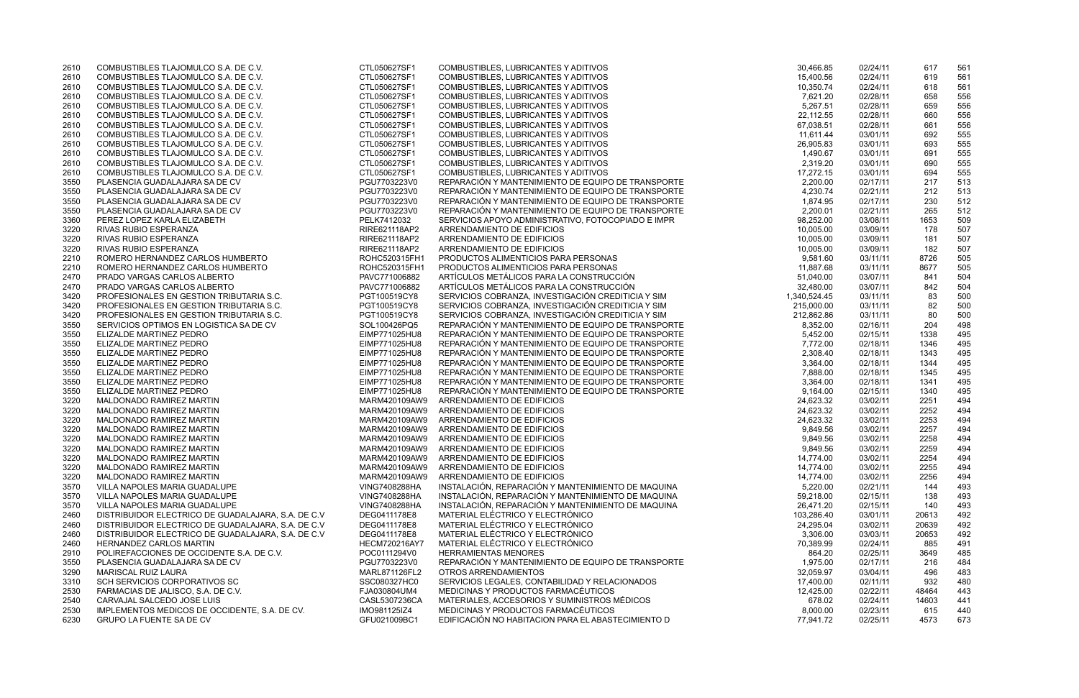| 2610 | COMBUSTIBLES TLAJOMULCO S.A. DE C.V.                | CTL050627SF1  | COMBUSTIBLES, LUBRICANTES Y ADITIVOS               | 30,466.85    | 02/24/11 | 617   | 561  |
|------|-----------------------------------------------------|---------------|----------------------------------------------------|--------------|----------|-------|------|
| 2610 | COMBUSTIBLES TLAJOMULCO S.A. DE C.V.                | CTL050627SF1  | COMBUSTIBLES, LUBRICANTES Y ADITIVOS               | 15,400.56    | 02/24/11 | 619   | 561  |
| 2610 | COMBUSTIBLES TLAJOMULCO S.A. DE C.V.                | CTL050627SF1  | COMBUSTIBLES, LUBRICANTES Y ADITIVOS               | 10,350.74    | 02/24/11 | 618   | 561  |
| 2610 | COMBUSTIBLES TLAJOMULCO S.A. DE C.V.                | CTL050627SF1  | COMBUSTIBLES, LUBRICANTES Y ADITIVOS               | 7,621.20     | 02/28/11 | 658   | 556  |
| 2610 | COMBUSTIBLES TLAJOMULCO S.A. DE C.V.                | CTL050627SF1  | COMBUSTIBLES, LUBRICANTES Y ADITIVOS               | 5,267.51     | 02/28/11 | 659   | 556  |
| 2610 | COMBUSTIBLES TLAJOMULCO S.A. DE C.V.                | CTL050627SF1  | COMBUSTIBLES, LUBRICANTES Y ADITIVOS               | 22,112.55    | 02/28/11 | 660   | 556  |
| 2610 | COMBUSTIBLES TLAJOMULCO S.A. DE C.V.                | CTL050627SF1  | COMBUSTIBLES, LUBRICANTES Y ADITIVOS               | 67,038.51    | 02/28/11 | 661   | 556  |
| 2610 | COMBUSTIBLES TLAJOMULCO S.A. DE C.V.                | CTL050627SF1  | COMBUSTIBLES, LUBRICANTES Y ADITIVOS               | 11,611.44    | 03/01/11 | 692   | 555  |
| 2610 | COMBUSTIBLES TLAJOMULCO S.A. DE C.V.                | CTL050627SF1  | COMBUSTIBLES, LUBRICANTES Y ADITIVOS               | 26,905.83    | 03/01/11 | 693   | 555  |
| 2610 | COMBUSTIBLES TLAJOMULCO S.A. DE C.V.                | CTL050627SF1  | COMBUSTIBLES, LUBRICANTES Y ADITIVOS               | 1,490.67     | 03/01/11 | 691   | 555  |
| 2610 | COMBUSTIBLES TLAJOMULCO S.A. DE C.V.                | CTL050627SF1  | COMBUSTIBLES, LUBRICANTES Y ADITIVOS               | 2,319.20     | 03/01/11 | 690   | 555  |
| 2610 | COMBUSTIBLES TLAJOMULCO S.A. DE C.V.                | CTL050627SF1  | COMBUSTIBLES, LUBRICANTES Y ADITIVOS               | 17,272.15    | 03/01/11 | 694   | 555  |
| 3550 | PLASENCIA GUADALAJARA SA DE CV                      | PGU7703223V0  | REPARACIÓN Y MANTENIMIENTO DE EQUIPO DE TRANSPORTE | 2,200.00     | 02/17/11 | 217   | 513  |
| 3550 | PLASENCIA GUADALAJARA SA DE CV                      | PGU7703223V0  | REPARACIÓN Y MANTENIMIENTO DE EQUIPO DE TRANSPORTE | 4,230.74     | 02/21/11 | 212   | 513  |
| 3550 | PLASENCIA GUADALAJARA SA DE CV                      | PGU7703223V0  | REPARACIÓN Y MANTENIMIENTO DE EQUIPO DE TRANSPORTE | 1,874.95     | 02/17/11 | 230   | 512  |
| 3550 | PLASENCIA GUADALAJARA SA DE CV                      | PGU7703223V0  | REPARACIÓN Y MANTENIMIENTO DE EQUIPO DE TRANSPORTE | 2,200.01     | 02/21/11 | 265   | 512  |
| 3360 | PEREZ LOPEZ KARLA ELIZABETH                         | PELK7412032   | SERVICIOS APOYO ADMINISTRATIVO, FOTOCOPIADO E IMPR | 98,252.00    | 03/08/11 | 1653  | 509  |
| 3220 | RIVAS RUBIO ESPERANZA                               | RIRE621118AP2 | ARRENDAMIENTO DE EDIFICIOS                         | 10,005.00    | 03/09/11 | 178   | 507  |
| 3220 | RIVAS RUBIO ESPERANZA                               | RIRE621118AP2 | ARRENDAMIENTO DE EDIFICIOS                         | 10,005.00    | 03/09/11 | 181   | 507  |
| 3220 | RIVAS RUBIO ESPERANZA                               | RIRE621118AP2 | ARRENDAMIENTO DE EDIFICIOS                         | 10,005.00    | 03/09/11 | 182   | 507  |
| 2210 | ROMERO HERNANDEZ CARLOS HUMBERTO                    | ROHC520315FH1 | PRODUCTOS ALIMENTICIOS PARA PERSONAS               | 9,581.60     | 03/11/11 | 8726  | 505  |
| 2210 | ROMERO HERNANDEZ CARLOS HUMBERTO                    | ROHC520315FH1 | PRODUCTOS ALIMENTICIOS PARA PERSONAS               | 11,887.68    | 03/11/11 | 8677  | 505  |
| 2470 | PRADO VARGAS CARLOS ALBERTO                         | PAVC771006882 | ARTÍCULOS METÁLICOS PARA LA CONSTRUCCIÓN           | 51,040.00    | 03/07/11 | 841   | 504  |
| 2470 | PRADO VARGAS CARLOS ALBERTO                         | PAVC771006882 | ARTÍCULOS METÁLICOS PARA LA CONSTRUCCIÓN           | 32,480.00    | 03/07/11 | 842   | 504  |
| 3420 | PROFESIONALES EN GESTION TRIBUTARIA S.C.            | PGT100519CY8  | SERVICIOS COBRANZA, INVESTIGACIÓN CREDITICIA Y SIM | 1,340,524.45 | 03/11/11 | 83    | 500  |
| 3420 | PROFESIONALES EN GESTION TRIBUTARIA S.C.            | PGT100519CY8  | SERVICIOS COBRANZA, INVESTIGACIÓN CREDITICIA Y SIM | 215,000.00   | 03/11/11 | 82    | 500  |
| 3420 | PROFESIONALES EN GESTION TRIBUTARIA S.C.            | PGT100519CY8  | SERVICIOS COBRANZA, INVESTIGACIÓN CREDITICIA Y SIM | 212,862.86   | 03/11/11 | 80    | 500  |
| 3550 | SERVICIOS OPTIMOS EN LOGISTICA SA DE CV             | SOL100426PQ5  | REPARACIÓN Y MANTENIMIENTO DE EQUIPO DE TRANSPORTE | 8,352.00     | 02/16/11 | 204   | 498  |
| 3550 | ELIZALDE MARTINEZ PEDRO                             | EIMP771025HU8 | REPARACIÓN Y MANTENIMIENTO DE EQUIPO DE TRANSPORTE | 5,452.00     | 02/15/11 | 1338  | 495  |
| 3550 | ELIZALDE MARTINEZ PEDRO                             | EIMP771025HU8 | REPARACIÓN Y MANTENIMIENTO DE EQUIPO DE TRANSPORTE | 7,772.00     | 02/18/11 | 1346  | 495  |
|      |                                                     | EIMP771025HU8 | REPARACIÓN Y MANTENIMIENTO DE EQUIPO DE TRANSPORTE |              |          |       | 495  |
| 3550 | ELIZALDE MARTINEZ PEDRO                             |               | REPARACIÓN Y MANTENIMIENTO DE EQUIPO DE TRANSPORTE | 2,308.40     | 02/18/11 | 1343  |      |
| 3550 | ELIZALDE MARTINEZ PEDRO                             | EIMP771025HU8 |                                                    | 3,364.00     | 02/18/11 | 1344  | 495  |
| 3550 | ELIZALDE MARTINEZ PEDRO                             | EIMP771025HU8 | REPARACIÓN Y MANTENIMIENTO DE EQUIPO DE TRANSPORTE | 7,888.00     | 02/18/11 | 1345  | 495  |
| 3550 | ELIZALDE MARTINEZ PEDRO                             | EIMP771025HU8 | REPARACIÓN Y MANTENIMIENTO DE EQUIPO DE TRANSPORTE | 3,364.00     | 02/18/11 | 1341  | 495  |
| 3550 | ELIZALDE MARTINEZ PEDRO                             | EIMP771025HU8 | REPARACIÓN Y MANTENIMIENTO DE EQUIPO DE TRANSPORTE | 9,164.00     | 02/15/11 | 1340  | 495  |
| 3220 | MALDONADO RAMIREZ MARTIN                            | MARM420109AW9 | ARRENDAMIENTO DE EDIFICIOS                         | 24,623.32    | 03/02/11 | 2251  | 494  |
| 3220 | MALDONADO RAMIREZ MARTIN                            | MARM420109AW9 | ARRENDAMIENTO DE EDIFICIOS                         | 24,623.32    | 03/02/11 | 2252  | 494  |
| 3220 | MALDONADO RAMIREZ MARTIN                            | MARM420109AW9 | ARRENDAMIENTO DE EDIFICIOS                         | 24,623.32    | 03/02/11 | 2253  | 494  |
| 3220 | MALDONADO RAMIREZ MARTIN                            | MARM420109AW9 | ARRENDAMIENTO DE EDIFICIOS                         | 9,849.56     | 03/02/11 | 2257  | 494  |
| 3220 | MALDONADO RAMIREZ MARTIN                            | MARM420109AW9 | ARRENDAMIENTO DE EDIFICIOS                         | 9,849.56     | 03/02/11 | 2258  | 494  |
| 3220 | MALDONADO RAMIREZ MARTIN                            | MARM420109AW9 | ARRENDAMIENTO DE EDIFICIOS                         | 9,849.56     | 03/02/11 | 2259  | 494  |
| 3220 | MALDONADO RAMIREZ MARTIN                            |               | MARM420109AW9 ARRENDAMIENTO DE EDIFICIOS           | 14,774.00    | 03/02/11 | 2254  | 494  |
| 3220 | MALDONADO RAMIREZ MARTIN                            | MARM420109AW9 | ARRENDAMIENTO DE EDIFICIOS                         | 14,774.00    | 03/02/11 | 2255  | 494  |
| 3220 | MALDONADO RAMIREZ MARTIN                            | MARM420109AW9 | ARRENDAMIENTO DE EDIFICIOS                         | 14,774.00    | 03/02/11 | 2256  | 494  |
| 3570 | VILLA NAPOLES MARIA GUADALUPE                       | VING7408288HA | INSTALACIÓN, REPARACIÓN Y MANTENIMIENTO DE MAQUINA | 5,220.00     | 02/21/11 | 144   | 493  |
| 3570 | VILLA NAPOLES MARIA GUADALUPE                       | VING7408288HA | INSTALACIÓN, REPARACIÓN Y MANTENIMIENTO DE MAQUINA | 59,218.00    | 02/15/11 | 138   | 493  |
| 3570 | VILLA NAPOLES MARIA GUADALUPE                       | VING7408288HA | INSTALACIÓN, REPARACIÓN Y MANTENIMIENTO DE MAQUINA | 26,471.20    | 02/15/11 | 140   | 493  |
| 2460 | DISTRIBUIDOR ELECTRICO DE GUADALAJARA, S.A. DE C.V. | DEG0411178E8  | MATERIAL ELÉCTRICO Y ELECTRÓNICO                   | 103,286.40   | 03/01/11 | 20613 | 492  |
| 2460 | DISTRIBUIDOR ELECTRICO DE GUADALAJARA, S.A. DE C.V. | DEG0411178E8  | MATERIAL ELÉCTRICO Y ELECTRÓNICO                   | 24,295.04    | 03/02/11 | 20639 | 492  |
| 2460 | DISTRIBUIDOR ELECTRICO DE GUADALAJARA, S.A. DE C.V. | DEG0411178E8  | MATERIAL ELÉCTRICO Y ELECTRÓNICO                   | 3,306.00     | 03/03/11 | 20653 | 492  |
| 2460 | HERNANDEZ CARLOS MARTIN                             | HECM720216AY7 | MATERIAL ELÉCTRICO Y ELECTRÓNICO                   | 70,389.99    | 02/24/11 | 885   | 491  |
| 2910 | POLIREFACCIONES DE OCCIDENTE S.A. DE C.V.           | POC0111294V0  | <b>HERRAMIENTAS MENORES</b>                        | 864.20       | 02/25/11 | 3649  | 485  |
| 3550 | PLASENCIA GUADALAJARA SA DE CV                      | PGU7703223V0  | REPARACIÓN Y MANTENIMIENTO DE EQUIPO DE TRANSPORTE | 1,975.00     | 02/17/11 | 216   | 484  |
| 3290 | <b>MARISCAL RUIZ LAURA</b>                          | MARL871126FL2 | OTROS ARRENDAMIENTOS                               | 32,059.97    | 03/04/11 | 496   | 483  |
| 3310 | SCH SERVICIOS CORPORATIVOS SC                       | SSC080327HC0  | SERVICIOS LEGALES, CONTABILIDAD Y RELACIONADOS     | 17,400.00    | 02/11/11 | 932   | 480  |
| 2530 | FARMACIAS DE JALISCO, S.A. DE C.V.                  | FJA030804UM4  | MEDICINAS Y PRODUCTOS FARMACÉUTICOS                | 12,425.00    | 02/22/11 | 48464 | 443  |
| 2540 | CARVAJAL SALCEDO JOSE LUIS                          | CASL5307236CA | MATERIALES, ACCESORIOS Y SUMINISTROS MÉDICOS       | 678.02       | 02/24/11 | 14603 | -441 |
| 2530 | IMPLEMENTOS MEDICOS DE OCCIDENTE, S.A. DE CV.       | IMO981125IZ4  | MEDICINAS Y PRODUCTOS FARMACÉUTICOS                | 8,000.00     | 02/23/11 | 615   | 440  |
| 6230 | <b>GRUPO LA FUENTE SA DE CV</b>                     | GFU021009BC1  | EDIFICACIÓN NO HABITACION PARA EL ABASTECIMIENTO D | 77,941.72    | 02/25/11 | 4573  | 673  |

| 30,466.85  | 02/24/11 | 617   | 561 |
|------------|----------|-------|-----|
| 15,400.56  | 02/24/11 | 619   | 561 |
| 10,350.74  | 02/24/11 | 618   | 561 |
| 7,621.20   | 02/28/11 | 658   | 556 |
| 5,267.51   | 02/28/11 | 659   | 556 |
| 22,112.55  | 02/28/11 | 660   | 556 |
| 67,038.51  | 02/28/11 | 661   | 556 |
| 11,611.44  | 03/01/11 | 692   | 555 |
| 26,905.83  | 03/01/11 | 693   | 555 |
| 1,490.67   | 03/01/11 | 691   | 555 |
| 2,319.20   | 03/01/11 | 690   | 555 |
| 17,272.15  | 03/01/11 | 694   | 555 |
| 2,200.00   | 02/17/11 | 217   | 513 |
| 4,230.74   | 02/21/11 | 212   | 513 |
| 1,874.95   | 02/17/11 | 230   | 512 |
| 2,200.01   | 02/21/11 | 265   | 512 |
| 98,252.00  | 03/08/11 | 1653  | 509 |
| 10,005.00  | 03/09/11 | 178   | 507 |
| 10,005.00  | 03/09/11 | 181   | 507 |
| 10,005.00  | 03/09/11 | 182   | 507 |
| 9,581.60   | 03/11/11 | 8726  | 505 |
| 11,887.68  | 03/11/11 | 8677  | 505 |
| 51,040.00  | 03/07/11 | 841   | 504 |
| 32,480.00  | 03/07/11 | 842   | 504 |
| 340,524.45 | 03/11/11 | 83    | 500 |
| 215,000.00 | 03/11/11 | 82    | 500 |
| 212,862.86 | 03/11/11 | 80    | 500 |
| 8,352.00   | 02/16/11 | 204   | 498 |
| 5,452.00   | 02/15/11 | 1338  | 495 |
| 7,772.00   | 02/18/11 | 1346  | 495 |
| 2,308.40   | 02/18/11 | 1343  | 495 |
| 3,364.00   | 02/18/11 | 1344  | 495 |
| 7,888.00   | 02/18/11 | 1345  | 495 |
| 3,364.00   | 02/18/11 | 1341  | 495 |
| 9,164.00   | 02/15/11 | 1340  | 495 |
| 24,623.32  | 03/02/11 | 2251  | 494 |
| 24,623.32  | 03/02/11 | 2252  | 494 |
| 24,623.32  | 03/02/11 | 2253  | 494 |
| 9,849.56   | 03/02/11 | 2257  | 494 |
| 9,849.56   | 03/02/11 | 2258  | 494 |
| 9,849.56   | 03/02/11 | 2259  | 494 |
| 14,774.00  | 03/02/11 | 2254  | 494 |
| 14,774.00  | 03/02/11 | 2255  | 494 |
| 14,774.00  | 03/02/11 | 2256  | 494 |
| 5,220.00   | 02/21/11 | 144   | 493 |
| 59,218.00  | 02/15/11 | 138   | 493 |
| 26,471.20  | 02/15/11 | 140   | 493 |
| 103,286.40 | 03/01/11 | 20613 | 492 |
| 24,295.04  | 03/02/11 | 20639 | 492 |
| 3,306.00   | 03/03/11 | 20653 | 492 |
| 70,389.99  | 02/24/11 | 885   | 491 |
| 864.20     | 02/25/11 | 3649  | 485 |
| 1,975.00   | 02/17/11 | 216   | 484 |
| 32,059.97  | 03/04/11 | 496   | 483 |
| 17,400.00  | 02/11/11 | 932   | 480 |
| 12,425.00  | 02/22/11 | 48464 | 443 |
| 678.02     | 02/24/11 | 14603 | 441 |
| 8,000.00   | 02/23/11 | 615   | 440 |
| 77,941.72  | 02/25/11 | 4573  | 673 |
|            |          |       |     |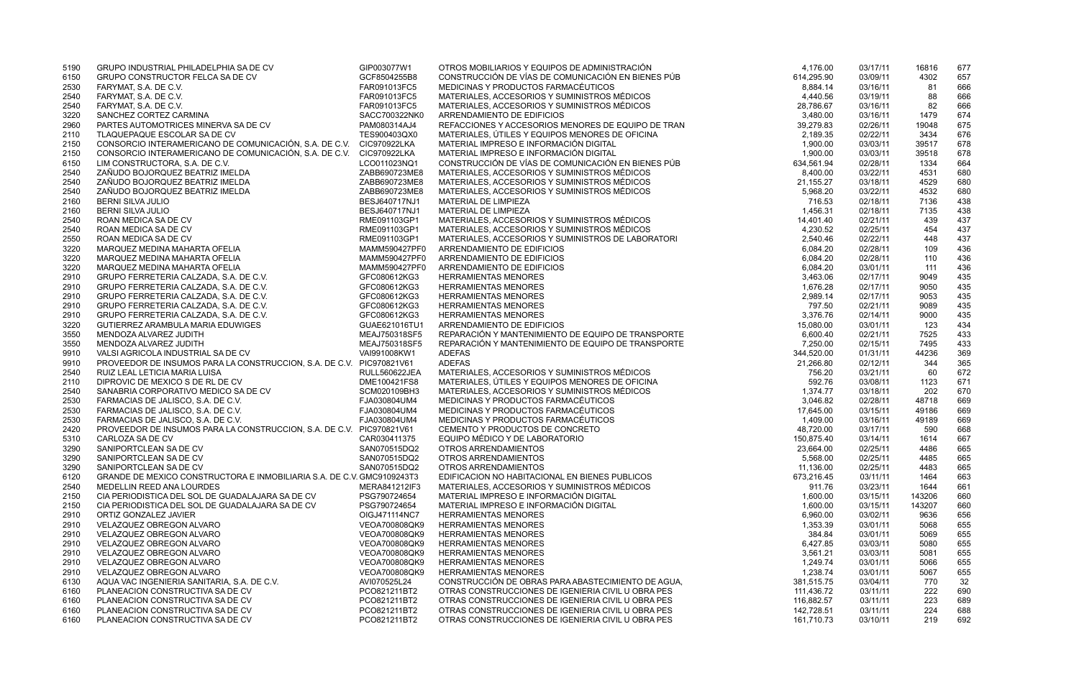| 5190 | GRUPO INDUSTRIAL PHILADELPHIA SA DE CV                                 | GIP003077W1                  | OTROS MOBILIARIOS Y EQUIPOS DE ADMINISTRACIÓN                                          | 4.176.00   | 03/17/11 | 16816  | 677 |
|------|------------------------------------------------------------------------|------------------------------|----------------------------------------------------------------------------------------|------------|----------|--------|-----|
| 6150 | GRUPO CONSTRUCTOR FELCA SA DE CV                                       | GCF8504255B8                 | CONSTRUCCIÓN DE VÍAS DE COMUNICACIÓN EN BIENES PÚB                                     | 614,295.90 | 03/09/11 | 4302   | 657 |
| 2530 | FARYMAT, S.A. DE C.V.                                                  | FAR091013FC5                 | MEDICINAS Y PRODUCTOS FARMACÉUTICOS                                                    | 8,884.14   | 03/16/11 | 81     | 666 |
| 2540 | FARYMAT, S.A. DE C.V.                                                  | FAR091013FC5                 | MATERIALES, ACCESORIOS Y SUMINISTROS MÉDICOS                                           | 4,440.56   | 03/19/11 | 88     | 666 |
| 2540 | FARYMAT, S.A. DE C.V.                                                  | FAR091013FC5                 | MATERIALES, ACCESORIOS Y SUMINISTROS MÉDICOS                                           | 28,786.67  | 03/16/11 | 82     | 666 |
| 3220 | SANCHEZ CORTEZ CARMINA                                                 | SACC700322NK0                | ARRENDAMIENTO DE EDIFICIOS                                                             | 3,480.00   | 03/16/11 | 1479   | 674 |
| 2960 | PARTES AUTOMOTRICES MINERVA SA DE CV                                   | PAM080314AJ4                 | REFACCIONES Y ACCESORIOS MENORES DE EQUIPO DE TRAN                                     | 39,279.83  | 02/26/11 | 19048  | 675 |
| 2110 | TLAQUEPAQUE ESCOLAR SA DE CV                                           | TES900403QX0                 | MATERIALES, ÚTILES Y EQUIPOS MENORES DE OFICINA                                        | 2,189.35   | 02/22/11 | 3434   | 676 |
| 2150 | CONSORCIO INTERAMERICANO DE COMUNICACIÓN, S.A. DE C.V.                 | CIC970922LKA                 | MATERIAL IMPRESO E INFORMACIÓN DIGITAL                                                 | 1,900.00   | 03/03/11 | 39517  | 678 |
| 2150 | CONSORCIO INTERAMERICANO DE COMUNICACIÓN, S.A. DE C.V.                 | CIC970922LKA                 | MATERIAL IMPRESO E INFORMACIÓN DIGITAL                                                 | 1,900.00   | 03/03/11 | 39518  | 678 |
| 6150 | LIM CONSTRUCTORA, S.A. DE C.V.                                         | LCO011023NQ1                 | CONSTRUCCIÓN DE VÍAS DE COMUNICACIÓN EN BIENES PÚB                                     | 634,561.94 | 02/28/11 | 1334   | 664 |
| 2540 | ZAÑUDO BOJORQUEZ BEATRIZ IMELDA                                        | ZABB690723ME8                | MATERIALES, ACCESORIOS Y SUMINISTROS MÉDICOS                                           | 8,400.00   | 03/22/11 | 4531   | 680 |
| 2540 | ZAÑUDO BOJORQUEZ BEATRIZ IMELDA                                        | ZABB690723ME8                | MATERIALES, ACCESORIOS Y SUMINISTROS MÉDICOS                                           | 21,155.27  | 03/18/11 | 4529   | 680 |
| 2540 | ZAÑUDO BOJORQUEZ BEATRIZ IMELDA                                        | ZABB690723ME8                | MATERIALES, ACCESORIOS Y SUMINISTROS MÉDICOS                                           | 5,968.20   | 03/22/11 | 4532   | 680 |
| 2160 | BERNI SILVA JULIO                                                      | BESJ640717NJ1                | MATERIAL DE LIMPIEZA                                                                   | 716.53     | 02/18/11 | 7136   | 438 |
| 2160 | <b>BERNI SILVA JULIO</b>                                               | BESJ640717NJ1                | MATERIAL DE LIMPIEZA                                                                   | 1,456.31   | 02/18/11 | 7135   | 438 |
| 2540 | ROAN MEDICA SA DE CV                                                   | RME091103GP1                 | MATERIALES, ACCESORIOS Y SUMINISTROS MÉDICOS                                           | 14,401.40  | 02/21/11 | 439    | 437 |
| 2540 | ROAN MEDICA SA DE CV                                                   | RME091103GP1                 | MATERIALES, ACCESORIOS Y SUMINISTROS MÉDICOS                                           | 4,230.52   | 02/25/11 | 454    | 437 |
| 2550 | ROAN MEDICA SA DE CV                                                   | RME091103GP1                 | MATERIALES, ACCESORIOS Y SUMINISTROS DE LABORATORI                                     | 2,540.46   | 02/22/11 | 448    | 437 |
| 3220 | MARQUEZ MEDINA MAHARTA OFELIA                                          | MAMM590427PF0                | ARRENDAMIENTO DE EDIFICIOS                                                             | 6,084.20   | 02/28/11 | 109    | 436 |
| 3220 | MARQUEZ MEDINA MAHARTA OFELIA                                          | MAMM590427PF0                | ARRENDAMIENTO DE EDIFICIOS                                                             | 6,084.20   | 02/28/11 | 110    | 436 |
| 3220 | MARQUEZ MEDINA MAHARTA OFELIA                                          | MAMM590427PF0                | ARRENDAMIENTO DE EDIFICIOS                                                             | 6,084.20   | 03/01/11 | 111    | 436 |
| 2910 | GRUPO FERRETERIA CALZADA, S.A. DE C.V.                                 | GFC080612KG3                 | <b>HERRAMIENTAS MENORES</b>                                                            | 3,463.06   | 02/17/11 | 9049   | 435 |
| 2910 | GRUPO FERRETERIA CALZADA, S.A. DE C.V.                                 | GFC080612KG3                 | <b>HERRAMIENTAS MENORES</b>                                                            | 1,676.28   | 02/17/11 | 9050   | 435 |
| 2910 | GRUPO FERRETERIA CALZADA, S.A. DE C.V.                                 | GFC080612KG3                 | HERRAMIENTAS MENORES                                                                   | 2,989.14   | 02/17/11 | 9053   | 435 |
| 2910 | GRUPO FERRETERIA CALZADA, S.A. DE C.V.                                 | GFC080612KG3                 | <b>HERRAMIENTAS MENORES</b>                                                            | 797.50     | 02/21/11 | 9089   | 435 |
| 2910 | GRUPO FERRETERIA CALZADA, S.A. DE C.V.                                 | GFC080612KG3                 | <b>HERRAMIENTAS MENORES</b>                                                            | 3,376.76   | 02/14/11 | 9000   | 435 |
| 3220 | GUTIERREZ ARAMBULA MARIA EDUWIGES                                      | GUAE621016TU1                | ARRENDAMIENTO DE EDIFICIOS                                                             | 15,080.00  | 03/01/11 | 123    | 434 |
| 3550 | MENDOZA ALVAREZ JUDITH                                                 | MEAJ750318SF5                | REPARACIÓN Y MANTENIMIENTO DE EQUIPO DE TRANSPORTE                                     | 6,600.40   | 02/21/11 | 7525   | 433 |
| 3550 | MENDOZA ALVAREZ JUDITH                                                 | MEAJ750318SF5                | REPARACIÓN Y MANTENIMIENTO DE EQUIPO DE TRANSPORTE                                     | 7,250.00   | 02/15/11 | 7495   | 433 |
| 9910 | VALSI AGRICOLA INDUSTRIAL SA DE CV                                     | VAI991008KW1                 | <b>ADEFAS</b>                                                                          | 344,520.00 | 01/31/11 | 44236  | 369 |
| 9910 | PROVEEDOR DE INSUMOS PARA LA CONSTRUCCION, S.A. DE C.V. PIC970821V61   |                              | <b>ADEFAS</b>                                                                          | 21,266.80  | 02/12/11 | 344    | 365 |
| 2540 | RUIZ LEAL LETICIA MARIA LUISA                                          | <b>RULL560622JEA</b>         | MATERIALES, ACCESORIOS Y SUMINISTROS MÉDICOS                                           | 756.20     | 03/21/11 | 60     | 672 |
| 2110 | DIPROVIC DE MEXICO S DE RL DE CV                                       | DME100421FS8                 | MATERIALES, ÚTILES Y EQUIPOS MENORES DE OFICINA                                        | 592.76     | 03/08/11 | 1123   | 671 |
| 2540 | SANABRIA CORPORATIVO MEDICO SA DE CV                                   | SCM020109BH3                 | MATERIALES, ACCESORIOS Y SUMINISTROS MÉDICOS                                           | 1,374.77   | 03/18/11 | 202    | 670 |
| 2530 | FARMACIAS DE JALISCO, S.A. DE C.V.                                     | FJA030804UM4                 | MEDICINAS Y PRODUCTOS FARMACÉUTICOS                                                    | 3,046.82   | 02/28/11 | 48718  | 669 |
| 2530 | FARMACIAS DE JALISCO, S.A. DE C.V.                                     | FJA030804UM4                 | MEDICINAS Y PRODUCTOS FARMACÉUTICOS                                                    | 17,645.00  | 03/15/11 | 49186  | 669 |
| 2530 | FARMACIAS DE JALISCO, S.A. DE C.V.                                     | FJA030804UM4                 | MEDICINAS Y PRODUCTOS FARMACÉUTICOS                                                    | 1,409.00   | 03/16/11 | 49189  | 669 |
| 2420 | PROVEEDOR DE INSUMOS PARA LA CONSTRUCCION, S.A. DE C.V. PIC970821V61   |                              | CEMENTO Y PRODUCTOS DE CONCRETO                                                        | 48,720.00  | 03/17/11 | 590    | 668 |
| 5310 | CARLOZA SA DE CV                                                       | CAR030411375                 | EQUIPO MÉDICO Y DE LABORATORIO                                                         | 150,875.40 | 03/14/11 |        | 667 |
|      | SANIPORTCLEAN SA DE CV                                                 |                              |                                                                                        | 23,664.00  |          | 1614   | 665 |
| 3290 | SANIPORTCLEAN SA DE CV                                                 | SAN070515DQ2                 | OTROS ARRENDAMIENTOS                                                                   |            | 02/25/11 | 4486   |     |
| 3290 | SANIPORTCLEAN SA DE CV                                                 | SAN070515DQ2<br>SAN070515DQ2 | OTROS ARRENDAMIENTOS<br>OTROS ARRENDAMIENTOS                                           | 5,568.00   | 02/25/11 | 4485   | 665 |
| 3290 | GRANDE DE MEXICO CONSTRUCTORA E INMOBILIARIA S.A. DE C.V. GMC9109243T3 |                              | EDIFICACION NO HABITACIONAL EN BIENES PUBLICOS                                         | 11,136.00  | 02/25/11 | 4483   | 665 |
| 6120 | MEDELLIN REED ANA LOURDES                                              |                              |                                                                                        | 673,216.45 | 03/11/11 | 1464   | 663 |
| 2540 |                                                                        | MERA841212IF3                | MATERIALES, ACCESORIOS Y SUMINISTROS MÉDICOS<br>MATERIAL IMPRESO E INFORMACIÓN DIGITAL | 911.76     | 03/23/11 | 1644   | 661 |
| 2150 | CIA PERIODISTICA DEL SOL DE GUADALAJARA SA DE CV                       | PSG790724654                 |                                                                                        | 1,600.00   | 03/15/11 | 143206 | 660 |
| 2150 | CIA PERIODISTICA DEL SOL DE GUADALAJARA SA DE CV                       | PSG790724654                 | MATERIAL IMPRESO E INFORMACIÓN DIGITAL                                                 | 1,600.00   | 03/15/11 | 143207 | 660 |
| 2910 | ORTIZ GONZALEZ JAVIER                                                  | OIGJ471114NC7                | <b>HERRAMIENTAS MENORES</b>                                                            | 6,960.00   | 03/02/11 | 9636   | 656 |
| 2910 | VELAZQUEZ OBREGON ALVARO                                               | VEOA700808QK9                | HERRAMIENTAS MENORES                                                                   | 1,353.39   | 03/01/11 | 5068   | 655 |
| 2910 | VELAZQUEZ OBREGON ALVARO                                               | VEOA700808QK9                | <b>HERRAMIENTAS MENORES</b>                                                            | 384.84     | 03/01/11 | 5069   | 655 |
| 2910 | VELAZQUEZ OBREGON ALVARO                                               | VEOA700808QK9                | <b>HERRAMIENTAS MENORES</b>                                                            | 6,427.85   | 03/03/11 | 5080   | 655 |
| 2910 | <b>VELAZQUEZ OBREGON ALVARO</b>                                        | VEOA700808QK9                | <b>HERRAMIENTAS MENORES</b>                                                            | 3,561.21   | 03/03/11 | 5081   | 655 |
| 2910 | <b>VELAZQUEZ OBREGON ALVARO</b>                                        | VEOA700808QK9                | <b>HERRAMIENTAS MENORES</b>                                                            | 1,249.74   | 03/01/11 | 5066   | 655 |
| 2910 | VELAZQUEZ OBREGON ALVARO                                               | VEOA700808QK9                | <b>HERRAMIENTAS MENORES</b>                                                            | 1,238.74   | 03/01/11 | 5067   | 655 |
| 6130 | AQUA VAC INGENIERIA SANITARIA, S.A. DE C.V.                            | AVI070525L24                 | CONSTRUCCIÓN DE OBRAS PARA ABASTECIMIENTO DE AGUA,                                     | 381,515.75 | 03/04/11 | 770    | 32  |
| 6160 | PLANEACION CONSTRUCTIVA SA DE CV                                       | PCO821211BT2                 | OTRAS CONSTRUCCIONES DE IGENIERIA CIVIL U OBRA PES                                     | 111,436.72 | 03/11/11 | 222    | 690 |
| 6160 | PLANEACION CONSTRUCTIVA SA DE CV                                       | PCO821211BT2                 | OTRAS CONSTRUCCIONES DE IGENIERIA CIVIL U OBRA PES                                     | 116,882.57 | 03/11/11 | 223    | 689 |
| 6160 | PLANEACION CONSTRUCTIVA SA DE CV                                       | PCO821211BT2                 | OTRAS CONSTRUCCIONES DE IGENIERIA CIVIL U OBRA PES                                     | 142,728.51 | 03/11/11 | 224    | 688 |
| 6160 | PLANEACION CONSTRUCTIVA SA DE CV                                       | PCO821211BT2                 | OTRAS CONSTRUCCIONES DE IGENIERIA CIVIL U OBRA PES                                     | 161,710.73 | 03/10/11 | 219    | 692 |

| 4,176.00           | 03/17/11 | 16816  | 677 |
|--------------------|----------|--------|-----|
| 614,295.90         | 03/09/11 | 4302   | 657 |
| 8,884.14           | 03/16/11 | 81     | 666 |
| 4,440.56           | 03/19/11 | 88     | 666 |
| 28,786.67          | 03/16/11 | 82     | 666 |
| 3,480.00           | 03/16/11 | 1479   | 674 |
| 39,279.83          | 02/26/11 | 19048  | 675 |
| 2,189.35           | 02/22/11 | 3434   | 676 |
| 1,900.00           | 03/03/11 | 39517  | 678 |
| 1,900.00           | 03/03/11 | 39518  | 678 |
| 634,561.94         | 02/28/11 | 1334   | 664 |
| 8,400.00           | 03/22/11 | 4531   | 680 |
| 21,155.27          | 03/18/11 | 4529   | 680 |
|                    | 03/22/11 | 4532   | 680 |
| 5,968.20<br>716.53 | 02/18/11 | 7136   | 438 |
|                    | 02/18/11 | 7135   | 438 |
| 1,456.31           |          |        |     |
| 14,401.40          | 02/21/11 | 439    | 437 |
| 4,230.52           | 02/25/11 | 454    | 437 |
| 2,540.46           | 02/22/11 | 448    | 437 |
| 6,084.20           | 02/28/11 | 109    | 436 |
| 6,084.20           | 02/28/11 | 110    | 436 |
| 6.084.20           | 03/01/11 | 111    | 436 |
| 3,463.06           | 02/17/11 | 9049   | 435 |
| 1,676.28           | 02/17/11 | 9050   | 435 |
| 2,989.14           | 02/17/11 | 9053   | 435 |
| 797.50             | 02/21/11 | 9089   | 435 |
| 3.376.76           | 02/14/11 | 9000   | 435 |
| 15,080.00          | 03/01/11 | 123    | 434 |
| 6,600.40           | 02/21/11 | 7525   | 433 |
| 7,250.00           | 02/15/11 | 7495   | 433 |
| 344,520.00         | 01/31/11 | 44236  | 369 |
| 21,266.80          | 02/12/11 | 344    | 365 |
| 756.20             | 03/21/11 | 60     | 672 |
| 592.76             | 03/08/11 | 1123   | 671 |
| 1,374.77           | 03/18/11 | 202    | 670 |
| 3,046.82           | 02/28/11 | 48718  | 669 |
| 17,645.00          | 03/15/11 | 49186  | 669 |
| 1,409.00           | 03/16/11 | 49189  | 669 |
| 48,720.00          | 03/17/11 | 590    | 668 |
| 150,875.40         | 03/14/11 | 1614   | 667 |
| 23,664.00          | 02/25/11 | 4486   | 665 |
| 5,568.00           | 02/25/11 | 4485   | 665 |
| 11,136.00          | 02/25/11 | 4483   | 665 |
| 673,216.45         | 03/11/11 | 1464   | 663 |
| 911.76             | 03/23/11 | 1644   | 661 |
| 1,600.00           | 03/15/11 | 143206 | 660 |
| 1,600.00           | 03/15/11 | 143207 | 660 |
| 6,960.00           | 03/02/11 | 9636   | 656 |
| 1,353.39           | 03/01/11 | 5068   | 655 |
| 384.84             | 03/01/11 | 5069   | 655 |
| 6,427.85           | 03/03/11 | 5080   | 655 |
| 3,561.21           | 03/03/11 | 5081   | 655 |
| 1,249.74           | 03/01/11 | 5066   | 655 |
| 1,238.74           | 03/01/11 | 5067   | 655 |
| 381,515.75         | 03/04/11 | 770    | 32  |
| 111,436.72         | 03/11/11 | 222    | 690 |
| 116,882.57         | 03/11/11 | 223    | 689 |
| 142,728.51         | 03/11/11 | 224    | 688 |
| 161,710.73         | 03/10/11 | 219    | 692 |
|                    |          |        |     |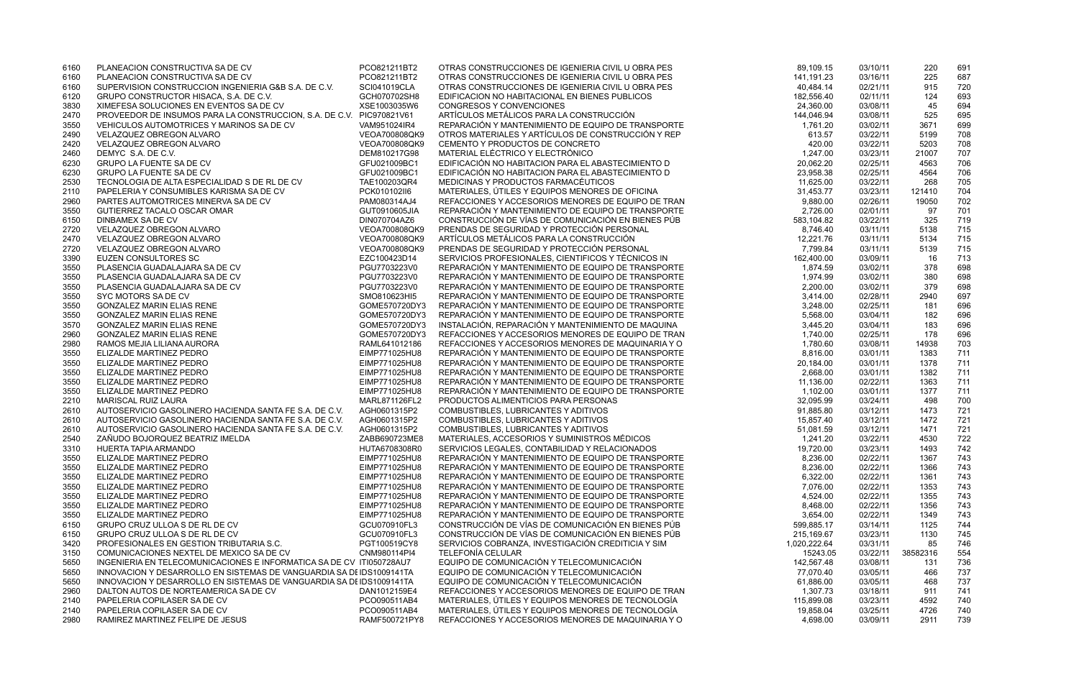| 6160 | PLANEACION CONSTRUCTIVA SA DE CV                                     | PCO821211BT2  | OTRAS CONSTRUCCIONES DE IGENIERIA CIVIL U OBRA PES | 89,109.15    | 03/10/11 | 220      | 691 |
|------|----------------------------------------------------------------------|---------------|----------------------------------------------------|--------------|----------|----------|-----|
| 6160 | PLANEACION CONSTRUCTIVA SA DE CV                                     | PCO821211BT2  | OTRAS CONSTRUCCIONES DE IGENIERIA CIVIL U OBRA PES | 141,191.23   | 03/16/11 | 225      | 687 |
| 6160 | SUPERVISION CONSTRUCCION INGENIERIA G&B S.A. DE C.V.                 | SCI041019CLA  | OTRAS CONSTRUCCIONES DE IGENIERIA CIVIL U OBRA PES | 40,484.14    | 02/21/11 | 915      | 720 |
| 6120 | GRUPO CONSTRUCTOR HISACA, S.A. DE C.V.                               | GCH070702SH8  | EDIFICACION NO HABITACIONAL EN BIENES PUBLICOS     | 182,556.40   | 02/11/11 | 124      | 693 |
| 3830 | XIMEFESA SOLUCIONES EN EVENTOS SA DE CV                              | XSE1003035W6  | CONGRESOS Y CONVENCIONES                           | 24,360.00    | 03/08/11 | 45       | 694 |
| 2470 | PROVEEDOR DE INSUMOS PARA LA CONSTRUCCION, S.A. DE C.V. PIC970821V61 |               | ARTÍCULOS METÁLICOS PARA LA CONSTRUCCIÓN           | 144,046.94   | 03/08/11 | 525      | 695 |
| 3550 | VEHICULOS AUTOMOTRICES Y MARINOS SA DE CV                            | VAM951024IR4  | REPARACIÓN Y MANTENIMIENTO DE EQUIPO DE TRANSPORTE | 1,761.20     | 03/02/11 | 3671     | 699 |
| 2490 | VELAZQUEZ OBREGON ALVARO                                             | VEOA700808QK9 | OTROS MATERIALES Y ARTÍCULOS DE CONSTRUCCIÓN Y REP | 613.57       | 03/22/11 | 5199     | 708 |
| 2420 | VELAZQUEZ OBREGON ALVARO                                             | VEOA700808QK9 | CEMENTO Y PRODUCTOS DE CONCRETO                    | 420.00       | 03/22/11 | 5203     | 708 |
|      |                                                                      |               |                                                    |              |          |          |     |
| 2460 | DEMYC S.A. DE C.V.                                                   | DEM810217G98  | MATERIAL ELÉCTRICO Y ELECTRÓNICO                   | 1,247.00     | 03/23/11 | 21007    | 707 |
| 6230 | <b>GRUPO LA FUENTE SA DE CV</b>                                      | GFU021009BC1  | EDIFICACIÓN NO HABITACION PARA EL ABASTECIMIENTO D | 20,062.20    | 02/25/11 | 4563     | 706 |
| 6230 | <b>GRUPO LA FUENTE SA DE CV</b>                                      | GFU021009BC1  | EDIFICACIÓN NO HABITACION PARA EL ABASTECIMIENTO D | 23,958.38    | 02/25/11 | 4564     | 706 |
| 2530 | TECNOLOGIA DE ALTA ESPECIALIDAD S DE RL DE CV                        | TAE100203QR4  | MEDICINAS Y PRODUCTOS FARMACÉUTICOS                | 11,625.00    | 03/22/11 | 268      | 705 |
| 2110 | PAPELERIA Y CONSUMIBLES KARISMA SA DE CV                             | PCK010102ll6  | MATERIALES, ÚTILES Y EQUIPOS MENORES DE OFICINA    | 31,453.77    | 03/23/11 | 121410   | 704 |
| 2960 | PARTES AUTOMOTRICES MINERVA SA DE CV                                 | PAM080314AJ4  | REFACCIONES Y ACCESORIOS MENORES DE EQUIPO DE TRAN | 9,880.00     | 02/26/11 | 19050    | 702 |
| 3550 | GUTIERREZ TACALO OSCAR OMAR                                          | GUT0910605JIA | REPARACIÓN Y MANTENIMIENTO DE EQUIPO DE TRANSPORTE | 2,726.00     | 02/01/11 | 97       | 701 |
| 6150 | DINBAMEX SA DE CV                                                    | DIN070704AZ6  | CONSTRUCCIÓN DE VÍAS DE COMUNICACIÓN EN BIENES PÚB | 583,104.82   | 03/22/11 | 325      | 719 |
| 2720 | VELAZQUEZ OBREGON ALVARO                                             | VEOA700808QK9 | PRENDAS DE SEGURIDAD Y PROTECCIÓN PERSONAL         | 8,746.40     | 03/11/11 | 5138     | 715 |
| 2470 | VELAZQUEZ OBREGON ALVARO                                             | VEOA700808QK9 | ARTÍCULOS METÁLICOS PARA LA CONSTRUCCIÓN           | 12,221.76    | 03/11/11 | 5134     | 715 |
| 2720 | VELAZQUEZ OBREGON ALVARO                                             | VEOA700808QK9 | PRENDAS DE SEGURIDAD Y PROTECCIÓN PERSONAL         | 7,799.84     | 03/11/11 | 5139     | 715 |
| 3390 | <b>EUZEN CONSULTORES SC</b>                                          | EZC100423D14  | SERVICIOS PROFESIONALES, CIENTIFICOS Y TÉCNICOS IN | 162,400.00   | 03/09/11 | 16       | 713 |
|      | PLASENCIA GUADALAJARA SA DE CV                                       | PGU7703223V0  | REPARACIÓN Y MANTENIMIENTO DE EQUIPO DE TRANSPORTE | 1,874.59     |          |          | 698 |
| 3550 |                                                                      |               |                                                    |              | 03/02/11 | 378      |     |
| 3550 | PLASENCIA GUADALAJARA SA DE CV                                       | PGU7703223V0  | REPARACIÓN Y MANTENIMIENTO DE EQUIPO DE TRANSPORTE | 1,974.99     | 03/02/11 | 380      | 698 |
| 3550 | PLASENCIA GUADALAJARA SA DE CV                                       | PGU7703223V0  | REPARACIÓN Y MANTENIMIENTO DE EQUIPO DE TRANSPORTE | 2,200.00     | 03/02/11 | 379      | 698 |
| 3550 | SYC MOTORS SADE CV                                                   | SMO810623HI5  | REPARACIÓN Y MANTENIMIENTO DE EQUIPO DE TRANSPORTE | 3,414.00     | 02/28/11 | 2940     | 697 |
| 3550 | <b>GONZALEZ MARIN ELIAS RENE</b>                                     | GOME570720DY3 | REPARACIÓN Y MANTENIMIENTO DE EQUIPO DE TRANSPORTE | 3,248.00     | 02/25/11 | 181      | 696 |
| 3550 | <b>GONZALEZ MARIN ELIAS RENE</b>                                     | GOME570720DY3 | REPARACIÓN Y MANTENIMIENTO DE EQUIPO DE TRANSPORTE | 5,568.00     | 03/04/11 | 182      | 696 |
| 3570 | <b>GONZALEZ MARIN ELIAS RENE</b>                                     | GOME570720DY3 | INSTALACIÓN, REPARACIÓN Y MANTENIMIENTO DE MAQUINA | 3,445.20     | 03/04/11 | 183      | 696 |
| 2960 | <b>GONZALEZ MARIN ELIAS RENE</b>                                     | GOME570720DY3 | REFACCIONES Y ACCESORIOS MENORES DE EQUIPO DE TRAN | 1,740.00     | 02/25/11 | 178      | 696 |
| 2980 | RAMOS MEJIA LILIANA AURORA                                           | RAML641012186 | REFACCIONES Y ACCESORIOS MENORES DE MAQUINARIA Y O | 1,780.60     | 03/08/11 | 14938    | 703 |
| 3550 | ELIZALDE MARTINEZ PEDRO                                              | EIMP771025HU8 | REPARACIÓN Y MANTENIMIENTO DE EQUIPO DE TRANSPORTE | 8,816.00     | 03/01/11 | 1383     | 711 |
| 3550 | ELIZALDE MARTINEZ PEDRO                                              | EIMP771025HU8 | REPARACIÓN Y MANTENIMIENTO DE EQUIPO DE TRANSPORTE | 20,184.00    | 03/01/11 | 1378     | 711 |
| 3550 | ELIZALDE MARTINEZ PEDRO                                              | EIMP771025HU8 | REPARACIÓN Y MANTENIMIENTO DE EQUIPO DE TRANSPORTE | 2,668.00     | 03/01/11 | 1382     | 711 |
| 3550 | ELIZALDE MARTINEZ PEDRO                                              | EIMP771025HU8 | REPARACIÓN Y MANTENIMIENTO DE EQUIPO DE TRANSPORTE | 11,136.00    | 02/22/11 | 1363     | 711 |
| 3550 | ELIZALDE MARTINEZ PEDRO                                              | EIMP771025HU8 | REPARACIÓN Y MANTENIMIENTO DE EQUIPO DE TRANSPORTE | 1,102.00     | 03/01/11 | 1377     | 711 |
| 2210 | <b>MARISCAL RUIZ LAURA</b>                                           | MARL871126FL2 | PRODUCTOS ALIMENTICIOS PARA PERSONAS               | 32,095.99    | 03/24/11 | 498      | 700 |
|      | AUTOSERVICIO GASOLINERO HACIENDA SANTA FE S.A. DE C.V.               | AGH0601315P2  | COMBUSTIBLES, LUBRICANTES Y ADITIVOS               | 91,885.80    |          | 1473     | 721 |
| 2610 |                                                                      |               |                                                    |              | 03/12/11 |          |     |
| 2610 | AUTOSERVICIO GASOLINERO HACIENDA SANTA FE S.A. DE C.V.               | AGH0601315P2  | COMBUSTIBLES, LUBRICANTES Y ADITIVOS               | 15,857.40    | 03/12/11 | 1472     | 721 |
| 2610 | AUTOSERVICIO GASOLINERO HACIENDA SANTA FE S.A. DE C.V.               | AGH0601315P2  | COMBUSTIBLES, LUBRICANTES Y ADITIVOS               | 51,081.59    | 03/12/11 | 1471     | 721 |
| 2540 | ZAÑUDO BOJORQUEZ BEATRIZ IMELDA                                      | ZABB690723ME8 | MATERIALES, ACCESORIOS Y SUMINISTROS MÉDICOS       | 1,241.20     | 03/22/11 | 4530     | 722 |
| 3310 | HUERTA TAPIA ARMANDO                                                 | HUTA6708308R0 | SERVICIOS LEGALES, CONTABILIDAD Y RELACIONADOS     | 19,720.00    | 03/23/11 | 1493     | 742 |
| 3550 | ELIZALDE MARTINEZ PEDRO                                              | EIMP771025HU8 | REPARACIÓN Y MANTENIMIENTO DE EQUIPO DE TRANSPORTE | 8,236.00     | 02/22/11 | 1367     | 743 |
| 3550 | ELIZALDE MARTINEZ PEDRO                                              | EIMP771025HU8 | REPARACIÓN Y MANTENIMIENTO DE EQUIPO DE TRANSPORTE | 8,236.00     | 02/22/11 | 1366     | 743 |
| 3550 | ELIZALDE MARTINEZ PEDRO                                              | EIMP771025HU8 | REPARACIÓN Y MANTENIMIENTO DE EQUIPO DE TRANSPORTE | 6,322.00     | 02/22/11 | 1361     | 743 |
| 3550 | ELIZALDE MARTINEZ PEDRO                                              | EIMP771025HU8 | REPARACIÓN Y MANTENIMIENTO DE EQUIPO DE TRANSPORTE | 7,076.00     | 02/22/11 | 1353     | 743 |
| 3550 | ELIZALDE MARTINEZ PEDRO                                              | EIMP771025HU8 | REPARACIÓN Y MANTENIMIENTO DE EQUIPO DE TRANSPORTE | 4,524.00     | 02/22/11 | 1355     | 743 |
| 3550 | ELIZALDE MARTINEZ PEDRO                                              | EIMP771025HU8 | REPARACIÓN Y MANTENIMIENTO DE EQUIPO DE TRANSPORTE | 8,468.00     | 02/22/11 | 1356     | 743 |
| 3550 | ELIZALDE MARTINEZ PEDRO                                              | EIMP771025HU8 | REPARACIÓN Y MANTENIMIENTO DE EQUIPO DE TRANSPORTE | 3,654.00     | 02/22/11 | 1349     | 743 |
| 6150 | GRUPO CRUZ ULLOA S DE RL DE CV                                       | GCU070910FL3  | CONSTRUCCIÓN DE VÍAS DE COMUNICACIÓN EN BIENES PÚB | 599,885.17   | 03/14/11 | 1125     | 744 |
| 6150 | GRUPO CRUZ ULLOAS DE RL DE CV                                        | GCU070910FL3  | CONSTRUCCIÓN DE VÍAS DE COMUNICACIÓN EN BIENES PÚB | 215,169.67   | 03/23/11 | 1130     | 745 |
| 3420 | PROFESIONALES EN GESTION TRIBUTARIA S.C.                             | PGT100519CY8  | SERVICIOS COBRANZA, INVESTIGACIÓN CREDITICIA Y SIM | 1,020,222.64 | 03/31/11 | 85       | 746 |
| 3150 | COMUNICACIONES NEXTEL DE MEXICO SA DE CV                             | CNM980114PI4  | TELEFONÍA CELULAR                                  | 15243.05     | 03/22/11 | 38582316 | 554 |
|      |                                                                      |               | EQUIPO DE COMUNICACIÓN Y TELECOMUNICACIÓN          |              |          |          |     |
| 5650 | INGENIERIA EN TELECOMUNICACIONES E INFORMATICA SA DE CV ITI050728AU7 |               |                                                    | 142,567.48   | 03/08/11 | 131      | 736 |
| 5650 | INNOVACION Y DESARROLLO EN SISTEMAS DE VANGUARDIA SA DI IDS1009141TA |               | EQUIPO DE COMUNICACIÓN Y TELECOMUNICACIÓN          | 77,070.40    | 03/05/11 | 466      | 737 |
| 5650 | INNOVACION Y DESARROLLO EN SISTEMAS DE VANGUARDIA SA DI IDS1009141TA |               | EQUIPO DE COMUNICACIÓN Y TELECOMUNICACIÓN          | 61,886.00    | 03/05/11 | 468      | 737 |
| 2960 | DALTON AUTOS DE NORTEAMERICA SA DE CV                                | DAN1012159E4  | REFACCIONES Y ACCESORIOS MENORES DE EQUIPO DE TRAN | 1,307.73     | 03/18/11 | 911      | 741 |
| 2140 | PAPELERIA COPILASER SA DE CV                                         | PCO090511AB4  | MATERIALES, ÚTILES Y EQUIPOS MENORES DE TECNOLOGÍA | 115,899.08   | 03/23/11 | 4592     | 740 |
| 2140 | PAPELERIA COPILASER SA DE CV                                         | PCO090511AB4  | MATERIALES, ÚTILES Y EQUIPOS MENORES DE TECNOLOGÍA | 19,858.04    | 03/25/11 | 4726     | 740 |
| 2980 | RAMIREZ MARTINEZ FELIPE DE JESUS                                     | RAMF500721PY8 | REFACCIONES Y ACCESORIOS MENORES DE MAQUINARIA Y O | 4,698.00     | 03/09/11 | 2911     | 739 |

| 89,109.15             | 03/10/11             | 220          | 691        |
|-----------------------|----------------------|--------------|------------|
| 141,191.23            | 03/16/11             | 225          | 687        |
| 40,484.14             | 02/21/11             | 915          | 720        |
| 182,556.40            | 02/11/11             | 124          | 693        |
| 24,360.00             | 03/08/11             | 45           | 694        |
| 144,046.94            | 03/08/11             | 525          | 695        |
| 1,761.20              | 03/02/11             | 3671         | 699        |
| 613.57                | 03/22/11             | 5199         | 708        |
| 420.00                | 03/22/11             | 5203         | 708        |
| 1,247.00              | 03/23/11             | 21007        | 707        |
| 20,062.20             | 02/25/11             | 4563         | 706        |
| 23,958.38             | 02/25/11             | 4564         | 706        |
| 11,625.00             | 03/22/11             | 268          | 705        |
| 31,453.77             | 03/23/11             | 121410       | 704        |
| 9,880.00              | 02/26/11             | 19050        | 702        |
| 2,726.00              | 02/01/11             | 97           | 701        |
| 583,104.82            | 03/22/11             | 325          | 719        |
| 8,746.40              | 03/11/11             | 5138         | 715        |
| 12,221.76             | 03/11/11             | 5134         | 715        |
| 7.799.84              | 03/11/11             | 5139         | 715        |
| 162,400.00            | 03/09/11             | 16           | 713        |
| 1,874.59              | 03/02/11             | 378          | 698        |
| 1,974.99              | 03/02/11             | 380          | 698        |
| 2,200.00              | 03/02/11             | 379          | 698        |
| 3,414.00              | 02/28/11             | 2940         | 697        |
| 3,248.00              | 02/25/11             | 181          | 696        |
| 5,568.00              | 03/04/11             | 182          | 696        |
| 3,445.20              | 03/04/11             | 183          | 696        |
| 1,740.00              | 02/25/11             | 178          | 696        |
| 1,780.60              | 03/08/11             | 14938        | 703        |
| 8,816.00              | 03/01/11             | 1383         | 711        |
| 20,184.00             | 03/01/11             | 1378         | 711        |
| 2,668.00              | 03/01/11             | 1382         | 711        |
| 11,136.00             | 02/22/11             | 1363         | 711        |
| 1,102.00              | 03/01/11             | 1377         | 711        |
| 32,095.99             | 03/24/11             | 498          | 700        |
| 91.885.80             | 03/12/11             | 1473         | 721        |
| 15,857.40             | 03/12/11             | 1472         | 721        |
| 51,081.59             | 03/12/11             | 1471         | 721        |
| 1,241.20              | 03/22/11<br>03/23/11 | 4530<br>1493 | 722<br>742 |
| 19,720.00<br>8,236.00 | 02/22/11             | 1367         | 743        |
| 8,236.00              | 02/22/11             | 1366         | 743        |
| 6,322.00              | 02/22/11             | 1361         | 743        |
| 7,076.00              | 02/22/11             | 1353         | 743        |
| 4,524.00              | 02/22/11             | 1355         | 743        |
| 8,468.00              | 02/22/11             | 1356         | 743        |
| 3,654.00              | 02/22/11             | 1349         | 743        |
| 599,885.17            | 03/14/11             | 1125         | 744        |
| 215,169.67            | 03/23/11             | 1130         | 745        |
| 020,222.64            | 03/31/11             | 85           | 746        |
| 15243.05              | 03/22/11             | 38582316     | 554        |
| 142,567.48            | 03/08/11             | 131          | 736        |
| 77,070.40             | 03/05/11             | 466          | 737        |
| 61,886.00             | 03/05/11             | 468          | 737        |
| 1,307.73              | 03/18/11             | 911          | 741        |
| 115,899.08            | 03/23/11             | 4592         | 740        |
| 19,858.04             | 03/25/11             | 4726         | 740        |
| 4,698.00              | 03/09/11             | 2911         | 739        |
|                       |                      |              |            |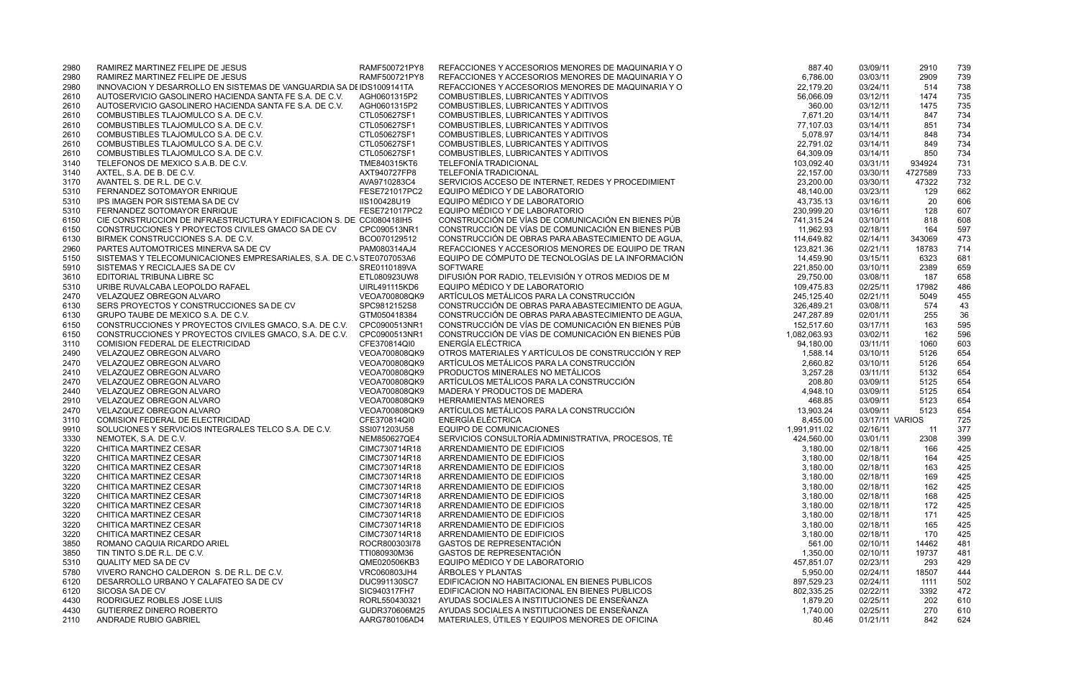| 2980 | RAMIREZ MARTINEZ FELIPE DE JESUS                                      | RAMF500721PY8 | REFACCIONES Y ACCESORIOS MENORES DE MAQUINARIA Y O | 887.40       | 03/09/11        | 2910    | 739 |
|------|-----------------------------------------------------------------------|---------------|----------------------------------------------------|--------------|-----------------|---------|-----|
| 2980 | RAMIREZ MARTINEZ FELIPE DE JESUS                                      | RAMF500721PY8 | REFACCIONES Y ACCESORIOS MENORES DE MAQUINARIA Y O | 6,786.00     | 03/03/11        | 2909    | 739 |
| 2980 | INNOVACION Y DESARROLLO EN SISTEMAS DE VANGUARDIA SA DI IDS1009141TA  |               | REFACCIONES Y ACCESORIOS MENORES DE MAQUINARIA Y O | 22,179.20    | 03/24/11        | 514     | 738 |
| 2610 | AUTOSERVICIO GASOLINERO HACIENDA SANTA FE S.A. DE C.V.                | AGH0601315P2  | COMBUSTIBLES, LUBRICANTES Y ADITIVOS               | 56,066.09    | 03/12/11        | 1474    | 735 |
|      | AUTOSERVICIO GASOLINERO HACIENDA SANTA FE S.A. DE C.V.                | AGH0601315P2  | COMBUSTIBLES, LUBRICANTES Y ADITIVOS               | 360.00       | 03/12/11        | 1475    | 735 |
| 2610 |                                                                       |               |                                                    |              |                 |         |     |
| 2610 | COMBUSTIBLES TLAJOMULCO S.A. DE C.V.                                  | CTL050627SF1  | COMBUSTIBLES, LUBRICANTES Y ADITIVOS               | 7,671.20     | 03/14/11        | 847     | 734 |
| 2610 | COMBUSTIBLES TLAJOMULCO S.A. DE C.V.                                  | CTL050627SF1  | COMBUSTIBLES, LUBRICANTES Y ADITIVOS               | 77,107.03    | 03/14/11        | 851     | 734 |
| 2610 | COMBUSTIBLES TLAJOMULCO S.A. DE C.V.                                  | CTL050627SF1  | COMBUSTIBLES, LUBRICANTES Y ADITIVOS               | 5,078.97     | 03/14/11        | 848     | 734 |
| 2610 | COMBUSTIBLES TLAJOMULCO S.A. DE C.V.                                  | CTL050627SF1  | COMBUSTIBLES, LUBRICANTES Y ADITIVOS               | 22,791.02    | 03/14/11        | 849     | 734 |
| 2610 | COMBUSTIBLES TLAJOMULCO S.A. DE C.V.                                  | CTL050627SF1  | COMBUSTIBLES, LUBRICANTES Y ADITIVOS               | 64,309.09    | 03/14/11        | 850     | 734 |
| 3140 | TELEFONOS DE MEXICO S.A.B. DE C.V.                                    | TME840315KT6  | <b>TELEFONÍA TRADICIONAL</b>                       | 103,092.40   | 03/31/11        | 934924  | 731 |
| 3140 | AXTEL, S.A. DE B. DE C.V.                                             | AXT940727FP8  | <b>TELEFONÍA TRADICIONAL</b>                       | 22,157.00    | 03/30/11        | 4727589 | 733 |
| 3170 | AVANTEL S. DE R.L. DE C.V.                                            | AVA9710283C4  | SERVICIOS ACCESO DE INTERNET, REDES Y PROCEDIMIENT | 23,200.00    | 03/30/11        | 47322   | 732 |
| 5310 | FERNANDEZ SOTOMAYOR ENRIQUE                                           | FESE721017PC2 | EQUIPO MÉDICO Y DE LABORATORIO                     | 48,140.00    | 03/23/11        | 129     | 662 |
| 5310 | IPS IMAGEN POR SISTEMA SA DE CV                                       | IIS100428U19  | EQUIPO MÉDICO Y DE LABORATORIO                     | 43,735.13    | 03/16/11        | 20      | 606 |
| 5310 | FERNANDEZ SOTOMAYOR ENRIQUE                                           | FESE721017PC2 | EQUIPO MÉDICO Y DE LABORATORIO                     | 230,999.20   | 03/16/11        | 128     | 607 |
| 6150 | CIE CONSTRUCCION DE INFRAESTRUCTURA Y EDIFICACION S. DE CCI080418IH5  |               | CONSTRUCCIÓN DE VÍAS DE COMUNICACIÓN EN BIENES PÚB | 741,315.24   | 03/10/11        | 818     | 608 |
| 6150 | CONSTRUCCIONES Y PROYECTOS CIVILES GMACO SA DE CV                     | CPC090513NR1  | CONSTRUCCIÓN DE VÍAS DE COMUNICACIÓN EN BIENES PÚB | 11,962.93    | 02/18/11        | 164     | 597 |
| 6130 | BIRMEK CONSTRUCCIONES S.A. DE C.V.                                    | BCO070129512  | CONSTRUCCIÓN DE OBRAS PARA ABASTECIMIENTO DE AGUA, | 114,649.82   | 02/14/11        | 343069  | 473 |
| 2960 | PARTES AUTOMOTRICES MINERVA SA DE CV                                  | PAM080314AJ4  | REFACCIONES Y ACCESORIOS MENORES DE EQUIPO DE TRAN | 123,821.36   | 02/21/11        | 18783   | 714 |
| 5150 | SISTEMAS Y TELECOMUNICACIONES EMPRESARIALES, S.A. DE C.\ STE0707053A6 |               | EQUIPO DE CÓMPUTO DE TECNOLOGÍAS DE LA INFORMACIÓN | 14,459.90    | 03/15/11        | 6323    | 681 |
| 5910 | SISTEMAS Y RECICLAJES SA DE CV                                        | SRE0110189VA  | <b>SOFTWARE</b>                                    | 221,850.00   | 03/10/11        | 2389    | 659 |
| 3610 | EDITORIAL TRIBUNA LIBRE SC                                            | ETL080923UW8  | DIFUSIÓN POR RADIO, TELEVISIÓN Y OTROS MEDIOS DE M | 29,750.00    | 03/08/11        | 187     | 658 |
|      |                                                                       | UIRL491115KD6 | EQUIPO MÉDICO Y DE LABORATORIO                     | 109,475.83   |                 |         | 486 |
| 5310 | URIBE RUVALCABA LEOPOLDO RAFAEL                                       |               | ARTÍCULOS METÁLICOS PARA LA CONSTRUCCIÓN           |              | 02/25/11        | 17982   |     |
| 2470 | VELAZQUEZ OBREGON ALVARO                                              | VEOA700808QK9 |                                                    | 245,125.40   | 02/21/11        | 5049    | 455 |
| 6130 | SERS PROYECTOS Y CONSTRUCCIONES SA DE CV                              | SPC9812152S8  | CONSTRUCCIÓN DE OBRAS PARA ABASTECIMIENTO DE AGUA, | 326,489.21   | 03/08/11        | 574     | 43  |
| 6130 | GRUPO TAUBE DE MEXICO S.A. DE C.V.                                    | GTM050418384  | CONSTRUCCIÓN DE OBRAS PARA ABASTECIMIENTO DE AGUA, | 247,287.89   | 02/01/11        | 255     | 36  |
| 6150 | CONSTRUCCIONES Y PROYECTOS CIVILES GMACO, S.A. DE C.V.                | CPC0900513NR1 | CONSTRUCCIÓN DE VÍAS DE COMUNICACIÓN EN BIENES PÚB | 152,517.60   | 03/17/11        | 163     | 595 |
| 6150 | CONSTRUCCIONES Y PROYECTOS CIVILES GMACO, S.A. DE C.V.                | CPC0900513NR1 | CONSTRUCCIÓN DE VÍAS DE COMUNICACIÓN EN BIENES PÚB | 1,082,063.93 | 03/02/11        | 162     | 596 |
| 3110 | COMISION FEDERAL DE ELECTRICIDAD                                      | CFE370814QI0  | ENERGÍA ELÉCTRICA                                  | 94,180.00    | 03/11/11        | 1060    | 603 |
| 2490 | VELAZQUEZ OBREGON ALVARO                                              | VEOA700808QK9 | OTROS MATERIALES Y ARTÍCULOS DE CONSTRUCCIÓN Y REP | 1,588.14     | 03/10/11        | 5126    | 654 |
| 2470 | VELAZQUEZ OBREGON ALVARO                                              | VEOA700808QK9 | ARTÍCULOS METÁLICOS PARA LA CONSTRUCCIÓN           | 2,660.82     | 03/10/11        | 5126    | 654 |
| 2410 | VELAZQUEZ OBREGON ALVARO                                              | VEOA700808QK9 | PRODUCTOS MINERALES NO METÁLICOS                   | 3,257.28     | 03/11/11        | 5132    | 654 |
| 2470 | VELAZQUEZ OBREGON ALVARO                                              | VEOA700808QK9 | ARTÍCULOS METÁLICOS PARA LA CONSTRUCCIÓN           | 208.80       | 03/09/11        | 5125    | 654 |
| 2440 | VELAZQUEZ OBREGON ALVARO                                              | VEOA700808QK9 | MADERA Y PRODUCTOS DE MADERA                       | 4,948.10     | 03/09/11        | 5125    | 654 |
| 2910 | VELAZQUEZ OBREGON ALVARO                                              | VEOA700808QK9 | <b>HERRAMIENTAS MENORES</b>                        | 468.85       | 03/09/11        | 5123    | 654 |
| 2470 | VELAZQUEZ OBREGON ALVARO                                              | VEOA700808QK9 | ARTÍCULOS METÁLICOS PARA LA CONSTRUCCIÓN           | 13,903.24    | 03/09/11        | 5123    | 654 |
| 3110 | COMISION FEDERAL DE ELECTRICIDAD                                      | CFE370814QI0  | <b>ENERGÍA ELÉCTRICA</b>                           | 8,455.00     | 03/17/11 VARIOS |         | 725 |
| 9910 | SOLUCIONES Y SERVICIOS INTEGRALES TELCO S.A. DE C.V.                  | SSI071203U58  | EQUIPO DE COMUNICACIONES                           | 1,991,911.02 | 02/16/11        | 11      | 377 |
| 3330 | NEMOTEK, S.A. DE C.V.                                                 | NEM850627QE4  | SERVICIOS CONSULTORÍA ADMINISTRATIVA, PROCESOS, TÉ | 424,560.00   | 03/01/11        | 2308    | 399 |
| 3220 | CHITICA MARTINEZ CESAR                                                | CIMC730714R18 | ARRENDAMIENTO DE EDIFICIOS                         | 3,180.00     | 02/18/11        | 166     | 425 |
| 3220 | CHITICA MARTINEZ CESAR                                                | CIMC730714R18 | ARRENDAMIENTO DE EDIFICIOS                         | 3,180.00     | 02/18/11        | 164     | 425 |
|      | CHITICA MARTINEZ CESAR                                                | CIMC730714R18 | ARRENDAMIENTO DE EDIFICIOS                         |              | 02/18/11        |         |     |
| 3220 |                                                                       |               |                                                    | 3,180.00     |                 | 163     | 425 |
| 3220 | CHITICA MARTINEZ CESAR                                                | CIMC730714R18 | ARRENDAMIENTO DE EDIFICIOS                         | 3,180.00     | 02/18/11        | 169     | 425 |
| 3220 | <b>CHITICA MARTINEZ CESAR</b>                                         | CIMC730714R18 | ARRENDAMIENTO DE EDIFICIOS                         | 3,180.00     | 02/18/11        | 162     | 425 |
| 3220 | CHITICA MARTINEZ CESAR                                                | CIMC730714R18 | ARRENDAMIENTO DE EDIFICIOS                         | 3,180.00     | 02/18/11        | 168     | 425 |
| 3220 | CHITICA MARTINEZ CESAR                                                | CIMC730714R18 | ARRENDAMIENTO DE EDIFICIOS                         | 3,180.00     | 02/18/11        | 172     | 425 |
| 3220 | CHITICA MARTINEZ CESAR                                                | CIMC730714R18 | ARRENDAMIENTO DE EDIFICIOS                         | 3,180.00     | 02/18/11        | 171     | 425 |
| 3220 | CHITICA MARTINEZ CESAR                                                | CIMC730714R18 | ARRENDAMIENTO DE EDIFICIOS                         | 3,180.00     | 02/18/11        | 165     | 425 |
| 3220 | CHITICA MARTINEZ CESAR                                                | CIMC730714R18 | ARRENDAMIENTO DE EDIFICIOS                         | 3,180.00     | 02/18/11        | 170     | 425 |
| 3850 | ROMANO CAQUIA RICARDO ARIEL                                           | ROCR800303l78 | <b>GASTOS DE REPRESENTACIÓN</b>                    | 561.00       | 02/10/11        | 14462   | 481 |
| 3850 | TIN TINTO S.DE R.L. DE C.V.                                           | TTI080930M36  | GASTOS DE REPRESENTACIÓN                           | 1,350.00     | 02/10/11        | 19737   | 481 |
| 5310 | QUALITY MED SA DE CV                                                  | QME020506KB3  | EQUIPO MÉDICO Y DE LABORATORIO                     | 457,851.07   | 02/23/11        | 293     | 429 |
| 5780 | VIVERO RANCHO CALDERON S. DE R.L. DE C.V.                             | VRC060803JH4  | ÁRBOLES Y PLANTAS                                  | 5,950.00     | 02/24/11        | 18507   | 444 |
| 6120 | DESARROLLO URBANO Y CALAFATEO SA DE CV                                | DUC991130SC7  | EDIFICACION NO HABITACIONAL EN BIENES PUBLICOS     | 897,529.23   | 02/24/11        | 1111    | 502 |
| 6120 | SICOSA SA DE CV                                                       | SIC940317FH7  | EDIFICACION NO HABITACIONAL EN BIENES PUBLICOS     | 802,335.25   | 02/22/11        | 3392    | 472 |
| 4430 | RODRIGUEZ ROBLES JOSE LUIS                                            | RORL550430321 | AYUDAS SOCIALES A INSTITUCIONES DE ENSEÑANZA       | 1,879.20     | 02/25/11        | 202     | 610 |
| 4430 | <b>GUTIERREZ DINERO ROBERTO</b>                                       | GUDR370606M25 | AYUDAS SOCIALES A INSTITUCIONES DE ENSEÑANZA       | 1,740.00     | 02/25/11        | 270     | 610 |
| 2110 | ANDRADE RUBIO GABRIEL                                                 | AARG780106AD4 | MATERIALES, ÚTILES Y EQUIPOS MENORES DE OFICINA    | 80.46        | 01/21/11        | 842     | 624 |
|      |                                                                       |               |                                                    |              |                 |         |     |

| 887.40                  | 03/09/11             | 2910       | 739        |
|-------------------------|----------------------|------------|------------|
| 6,786.00                | 03/03/11             | 2909       | 739        |
| 22,179.20               | 03/24/11             | 514        | 738        |
| 56,066.09               | 03/12/11             | 1474       | 735        |
| 360.00                  | 03/12/11             | 1475       | 735        |
| 7,671.20                | 03/14/11             | 847        | 734        |
| 77,107.03               | 03/14/11             | 851        | 734        |
| 5,078.97                | 03/14/11             | 848        | 734        |
| 22,791.02               | 03/14/11             | 849        | 734        |
| 64,309.09               | 03/14/11             | 850        | 734        |
| 103,092.40              | 03/31/11             | 934924     | 731        |
| 22,157.00               | 03/30/11             | 4727589    | 733        |
| 23,200.00               | 03/30/11             | 47322      | 732        |
| 48,140.00               | 03/23/11             | 129        | 662        |
| 43,735.13               | 03/16/11             | 20         | 606        |
| 230,999.20              | 03/16/11             | 128        | 607        |
| 741,315.24              | 03/10/11             | 818        | 608        |
| 11,962.93               | 02/18/11             | 164        | 597        |
| 114,649.82              | 02/14/11             | 343069     | 473        |
| 123,821.36              | 02/21/11             | 18783      | 714        |
| 14,459.90               | 03/15/11             | 6323       | 681        |
| 221,850.00              | 03/10/11             | 2389       | 659        |
| 29,750.00               | 03/08/11             | 187        | 658        |
| 109,475.83              | 02/25/11             | 17982      | 486        |
| 245,125.40              | 02/21/11             | 5049       | 455        |
| 326,489.21              | 03/08/11             | 574        | 43         |
| 247.287.89              | 02/01/11<br>03/17/11 | 255        | 36         |
| 152,517.60              | 03/02/11             | 163<br>162 | 595<br>596 |
| 082,063.93<br>94,180.00 | 03/11/11             | 1060       | 603        |
| 1,588.14                | 03/10/11             | 5126       | 654        |
| 2,660.82                | 03/10/11             | 5126       | 654        |
| 3,257.28                | 03/11/11             | 5132       | 654        |
| 208.80                  | 03/09/11             | 5125       | 654        |
| 4,948.10                | 03/09/11             | 5125       | 654        |
| 468.85                  | 03/09/11             | 5123       | 654        |
| 13,903.24               | 03/09/11             | 5123       | 654        |
| 8,455.00                | 03/17/11             | VARIOS     | 725        |
| 991,911.02              | 02/16/11             | 11         | 377        |
| 424,560.00              | 03/01/11             | 2308       | 399        |
| 3,180.00                | 02/18/11             | 166        | 425        |
| 3,180.00                | 02/18/11             | 164        | 425        |
| 3,180.00                | 02/18/11             | 163        | 425        |
| 3,180.00                | 02/18/11             | 169        | 425        |
| 3,180.00                | 02/18/11             | 162        | 425        |
| 3,180.00                | 02/18/11             | 168        | 425        |
| 3,180.00                | 02/18/11             | 172        | 425        |
| 3,180.00                | 02/18/11             | 171        | 425        |
| 3,180.00                | 02/18/11             | 165        | 425        |
| 3,180.00                | 02/18/11             | 170        | 425        |
| 561.00                  | 02/10/11             | 14462      | 481        |
| 1,350.00                | 02/10/11             | 19737      | 481        |
| 457,851.07              | 02/23/11             | 293        | 429        |
| 5,950.00                | 02/24/11             | 18507      | 444        |
| 897,529.23              | 02/24/11             | 1111       | 502        |
| 802,335.25              | 02/22/11             | 3392       | 472        |
| 1,879.20                | 02/25/11             | 202        | 610        |
| 1,740.00                | 02/25/11             | 270        | 610        |
| 80.46                   | 01/21/11             | 842        | 624        |